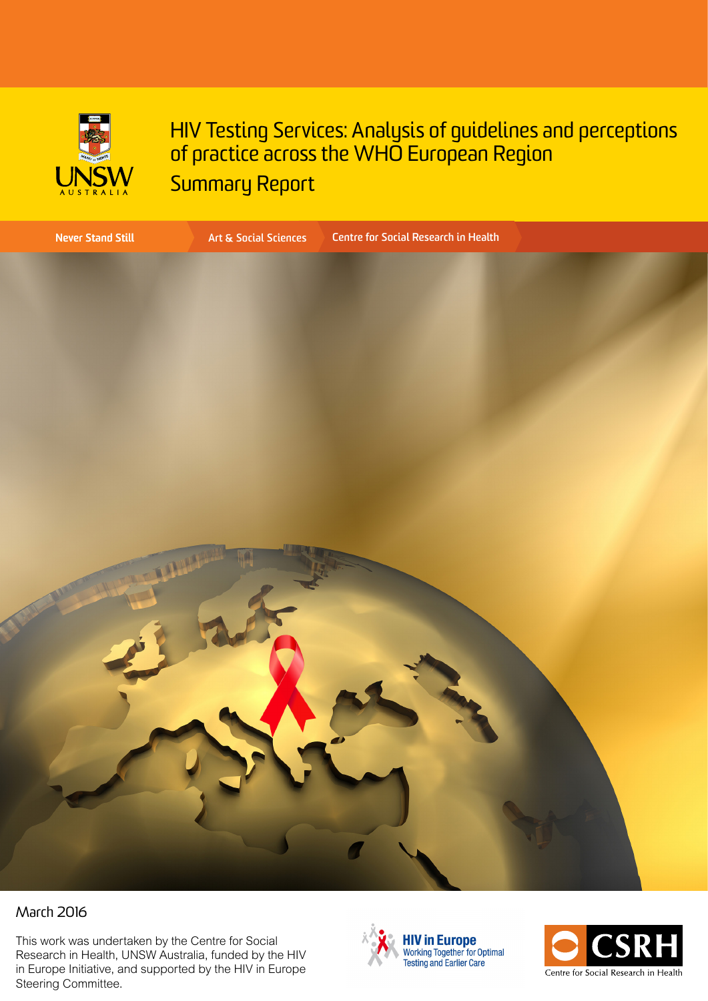

HIV Testing Services: Analysis of guidelines and perceptions of practice across the WHO European Region Summary Report



#### March 2016

This work was undertaken by the Centre for Social Research in Health, UNSW Australia, funded by the HIV in Europe Initiative, and supported by the HIV in Europe Steering Committee.



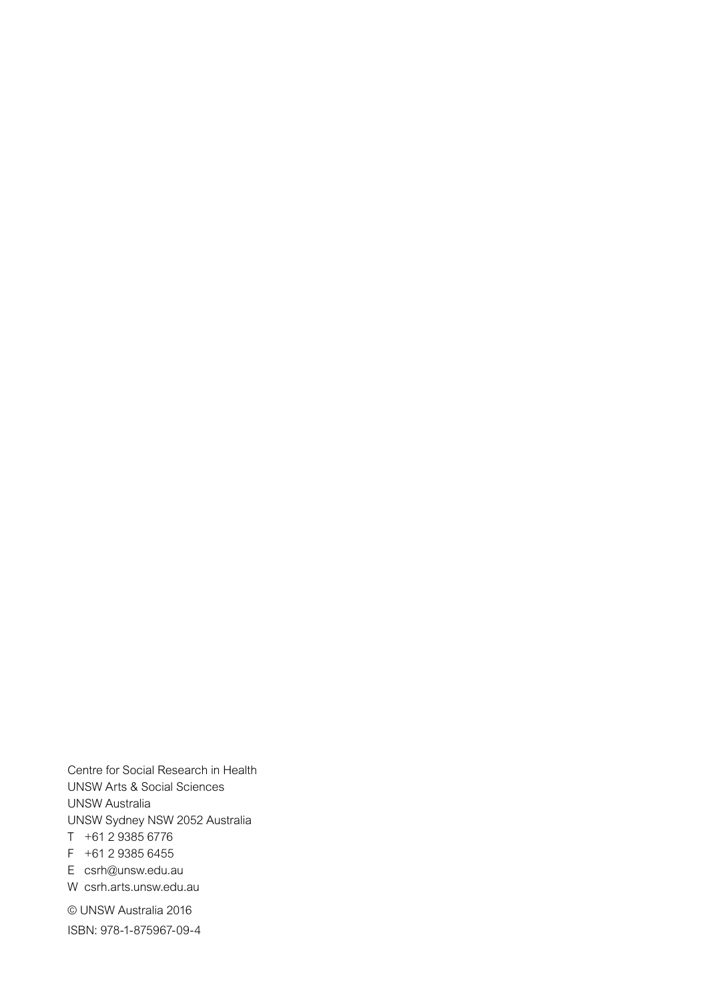Centre for Social Research in Health UNSW Arts & Social Sciences UNSW Australia UNSW Sydney NSW 2052 Australia T +61 2 9385 6776  $F +61 2 9385 6455$ E csrh[@unsw.edu.au](mailto:csrh%40unsw.edu.au?subject=) W csr[h.arts.unsw.edu.au](https://csrh.arts.unsw.edu.au/)

© UNSW Australia 2016 ISBN: 978-1-875967-09-4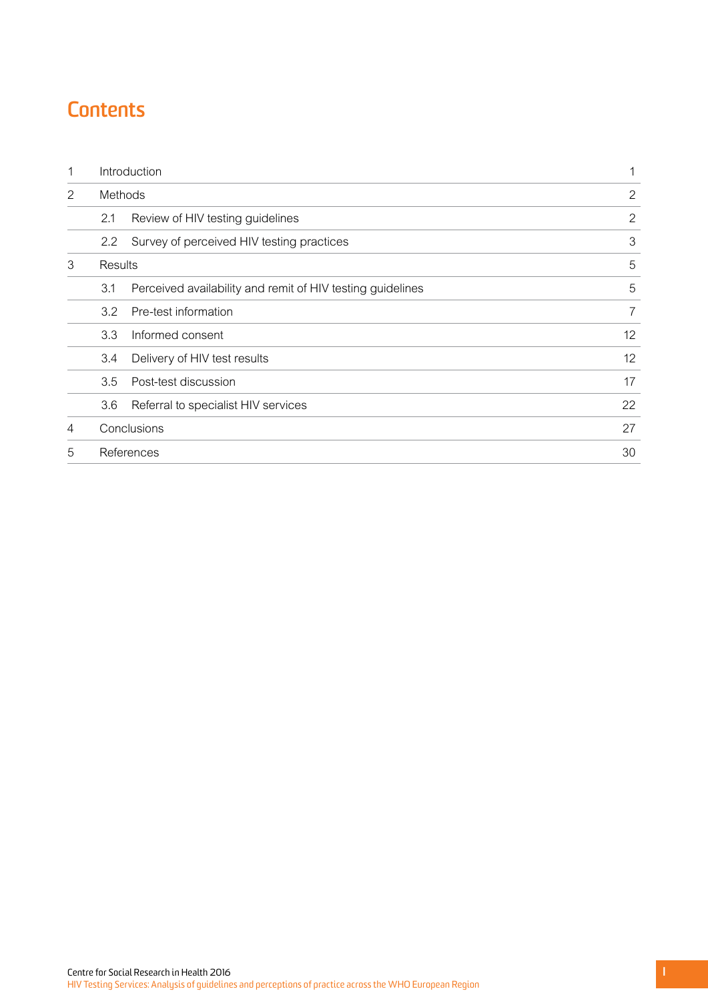# **Contents**

| 1              | Introduction                                                      | 1              |
|----------------|-------------------------------------------------------------------|----------------|
| 2              | Methods                                                           | 2              |
|                | 2.1<br>Review of HIV testing guidelines                           | $\overline{2}$ |
|                | Survey of perceived HIV testing practices<br>2.2                  | 3              |
| 3              | Results                                                           | 5              |
|                | Perceived availability and remit of HIV testing guidelines<br>3.1 | 5              |
|                | Pre-test information<br>3.2                                       | 7              |
|                | 3.3<br>Informed consent                                           | 12             |
|                | Delivery of HIV test results<br>3.4                               | 12             |
|                | 3.5<br>Post-test discussion                                       | 17             |
|                | 3.6<br>Referral to specialist HIV services                        | 22             |
| $\overline{4}$ | Conclusions                                                       | 27             |
| 5              | References                                                        | 30             |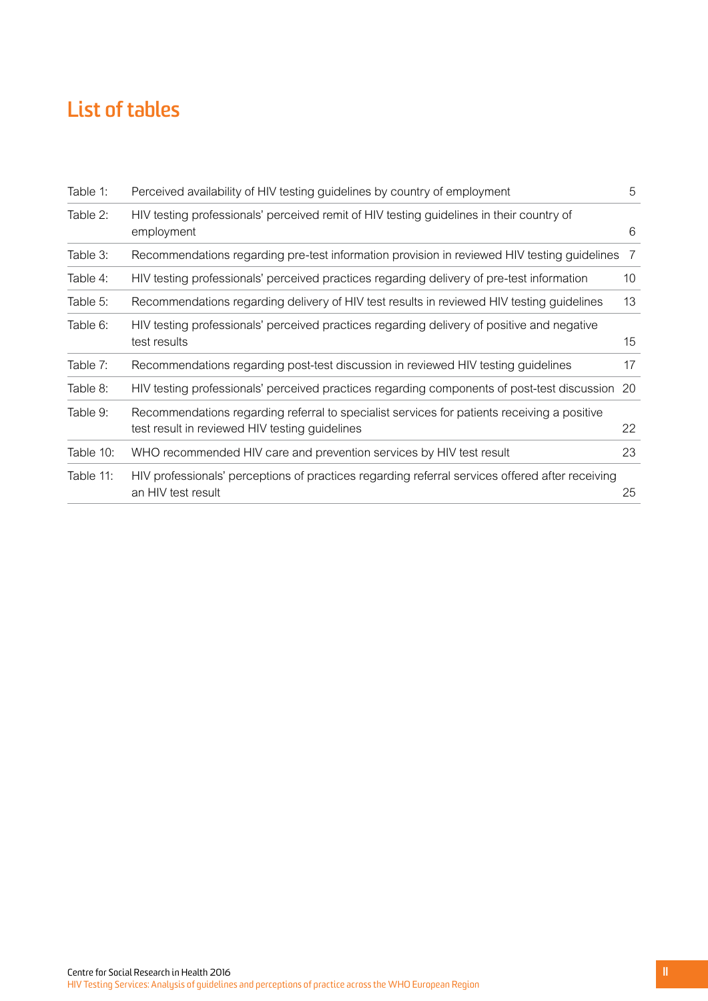# **List of tables**

| Table 1:  | Perceived availability of HIV testing guidelines by country of employment                                                                     | 5  |
|-----------|-----------------------------------------------------------------------------------------------------------------------------------------------|----|
| Table 2:  | HIV testing professionals' perceived remit of HIV testing guidelines in their country of<br>employment                                        | 6  |
| Table 3:  | Recommendations regarding pre-test information provision in reviewed HIV testing guidelines                                                   | -7 |
| Table 4:  | HIV testing professionals' perceived practices regarding delivery of pre-test information                                                     | 10 |
| Table 5:  | Recommendations regarding delivery of HIV test results in reviewed HIV testing guidelines                                                     | 13 |
| Table 6:  | HIV testing professionals' perceived practices regarding delivery of positive and negative<br>test results                                    | 15 |
| Table 7:  | Recommendations regarding post-test discussion in reviewed HIV testing guidelines                                                             | 17 |
| Table 8:  | HIV testing professionals' perceived practices regarding components of post-test discussion 20                                                |    |
| Table 9:  | Recommendations regarding referral to specialist services for patients receiving a positive<br>test result in reviewed HIV testing guidelines | 22 |
| Table 10: | WHO recommended HIV care and prevention services by HIV test result                                                                           | 23 |
| Table 11: | HIV professionals' perceptions of practices regarding referral services offered after receiving<br>an HIV test result                         | 25 |
|           |                                                                                                                                               |    |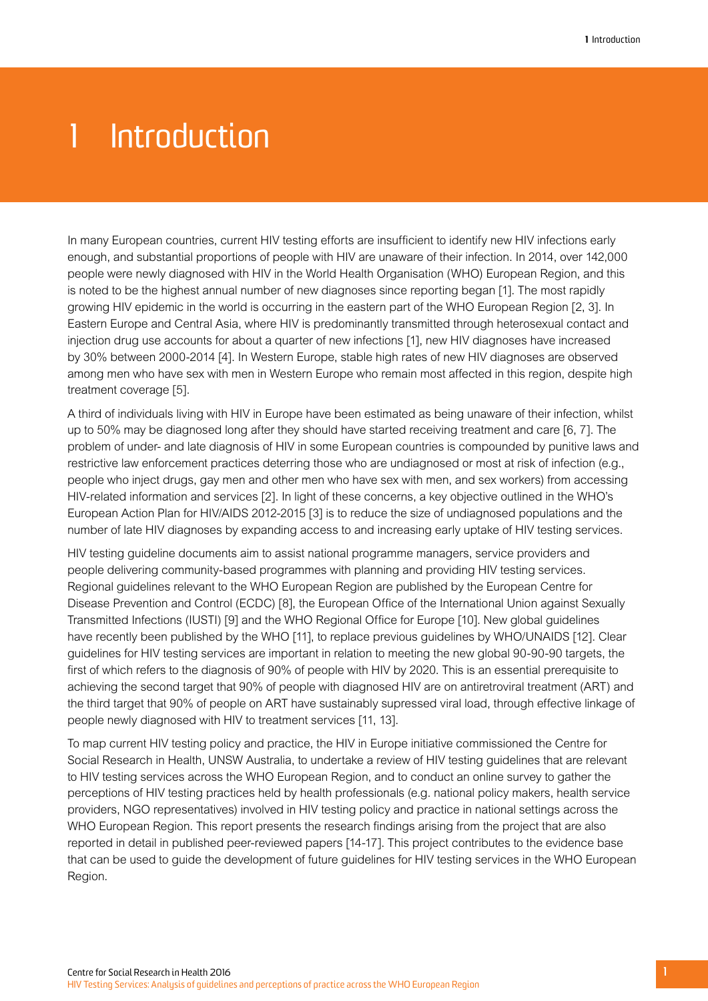# <span id="page-4-0"></span>1 Introduction

In many European countries, current HIV testing efforts are insufficient to identify new HIV infections early enough, and substantial proportions of people with HIV are unaware of their infection. In 2014, over 142,000 people were newly diagnosed with HIV in the World Health Organisation (WHO) European Region, and this is noted to be the highest annual number of new diagnoses since reporting began [1]. The most rapidly growing HIV epidemic in the world is occurring in the eastern part of the WHO European Region [2, 3]. In Eastern Europe and Central Asia, where HIV is predominantly transmitted through heterosexual contact and injection drug use accounts for about a quarter of new infections [1], new HIV diagnoses have increased by 30% between 2000-2014 [4]. In Western Europe, stable high rates of new HIV diagnoses are observed among men who have sex with men in Western Europe who remain most affected in this region, despite high treatment coverage [5].

A third of individuals living with HIV in Europe have been estimated as being unaware of their infection, whilst up to 50% may be diagnosed long after they should have started receiving treatment and care [6, 7]. The problem of under- and late diagnosis of HIV in some European countries is compounded by punitive laws and restrictive law enforcement practices deterring those who are undiagnosed or most at risk of infection (e.g., people who inject drugs, gay men and other men who have sex with men, and sex workers) from accessing HIV-related information and services [2]. In light of these concerns, a key objective outlined in the WHO's European Action Plan for HIV/AIDS 2012-2015 [3] is to reduce the size of undiagnosed populations and the number of late HIV diagnoses by expanding access to and increasing early uptake of HIV testing services.

HIV testing guideline documents aim to assist national programme managers, service providers and people delivering community-based programmes with planning and providing HIV testing services. Regional guidelines relevant to the WHO European Region are published by the European Centre for Disease Prevention and Control (ECDC) [8], the European Office of the International Union against Sexually Transmitted Infections (IUSTI) [9] and the WHO Regional Office for Europe [10]. New global guidelines have recently been published by the WHO [11], to replace previous guidelines by WHO/UNAIDS [12]. Clear guidelines for HIV testing services are important in relation to meeting the new global 90-90-90 targets, the first of which refers to the diagnosis of 90% of people with HIV by 2020. This is an essential prerequisite to achieving the second target that 90% of people with diagnosed HIV are on antiretroviral treatment (ART) and the third target that 90% of people on ART have sustainably supressed viral load, through effective linkage of people newly diagnosed with HIV to treatment services [11, 13].

To map current HIV testing policy and practice, the HIV in Europe initiative commissioned the Centre for Social Research in Health, UNSW Australia, to undertake a review of HIV testing guidelines that are relevant to HIV testing services across the WHO European Region, and to conduct an online survey to gather the perceptions of HIV testing practices held by health professionals (e.g. national policy makers, health service providers, NGO representatives) involved in HIV testing policy and practice in national settings across the WHO European Region. This report presents the research findings arising from the project that are also reported in detail in published peer-reviewed papers [14-17]. This project contributes to the evidence base that can be used to guide the development of future guidelines for HIV testing services in the WHO European Region.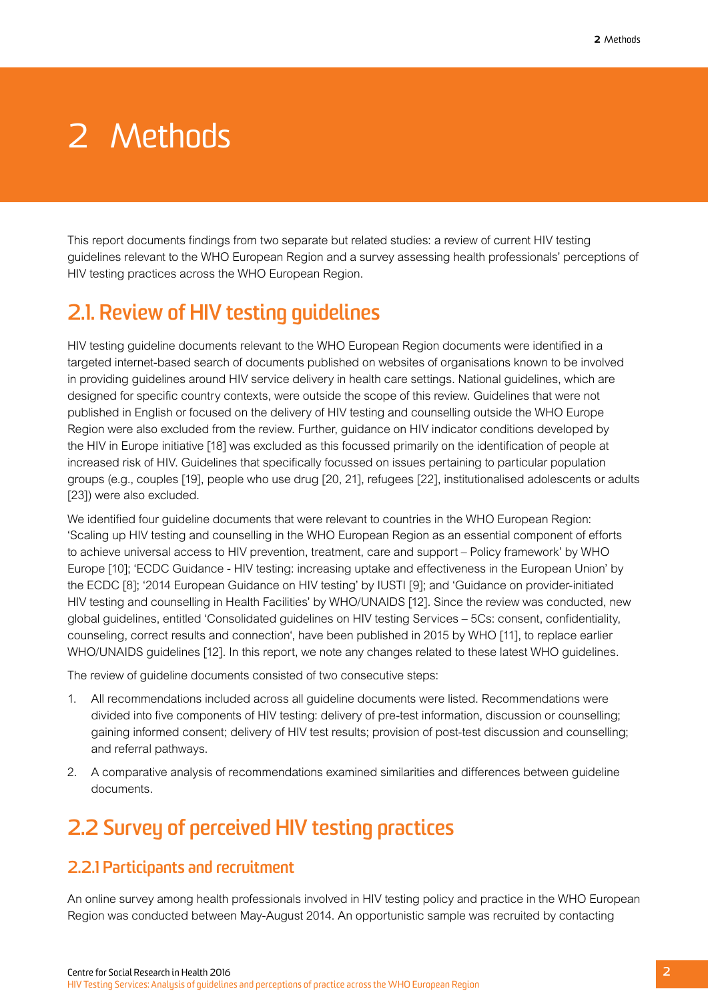# <span id="page-5-0"></span>2 Methods

This report documents findings from two separate but related studies: a review of current HIV testing guidelines relevant to the WHO European Region and a survey assessing health professionals' perceptions of HIV testing practices across the WHO European Region.

## **2.1. Review of HIV testing guidelines**

HIV testing guideline documents relevant to the WHO European Region documents were identified in a targeted internet-based search of documents published on websites of organisations known to be involved in providing guidelines around HIV service delivery in health care settings. National guidelines, which are designed for specific country contexts, were outside the scope of this review. Guidelines that were not published in English or focused on the delivery of HIV testing and counselling outside the WHO Europe Region were also excluded from the review. Further, guidance on HIV indicator conditions developed by the HIV in Europe initiative [18] was excluded as this focussed primarily on the identification of people at increased risk of HIV. Guidelines that specifically focussed on issues pertaining to particular population groups (e.g., couples [19], people who use drug [20, 21], refugees [22], institutionalised adolescents or adults [23]) were also excluded.

We identified four guideline documents that were relevant to countries in the WHO European Region: 'Scaling up HIV testing and counselling in the WHO European Region as an essential component of efforts to achieve universal access to HIV prevention, treatment, care and support – Policy framework' by WHO Europe [10]; 'ECDC Guidance - HIV testing: increasing uptake and effectiveness in the European Union' by the ECDC [8]; '2014 European Guidance on HIV testing' by IUSTI [9]; and 'Guidance on provider-initiated HIV testing and counselling in Health Facilities' by WHO/UNAIDS [12]. Since the review was conducted, new global guidelines, entitled 'Consolidated guidelines on HIV testing Services – 5Cs: consent, confidentiality, counseling, correct results and connection', have been published in 2015 by WHO [11], to replace earlier WHO/UNAIDS guidelines [12]. In this report, we note any changes related to these latest WHO guidelines.

The review of guideline documents consisted of two consecutive steps:

- 1. All recommendations included across all guideline documents were listed. Recommendations were divided into five components of HIV testing: delivery of pre-test information, discussion or counselling; gaining informed consent; delivery of HIV test results; provision of post-test discussion and counselling; and referral pathways.
- 2. A comparative analysis of recommendations examined similarities and differences between guideline documents.

## **2.2 Survey of perceived HIV testing practices**

#### **2.2.1 Participants and recruitment**

An online survey among health professionals involved in HIV testing policy and practice in the WHO European Region was conducted between May-August 2014. An opportunistic sample was recruited by contacting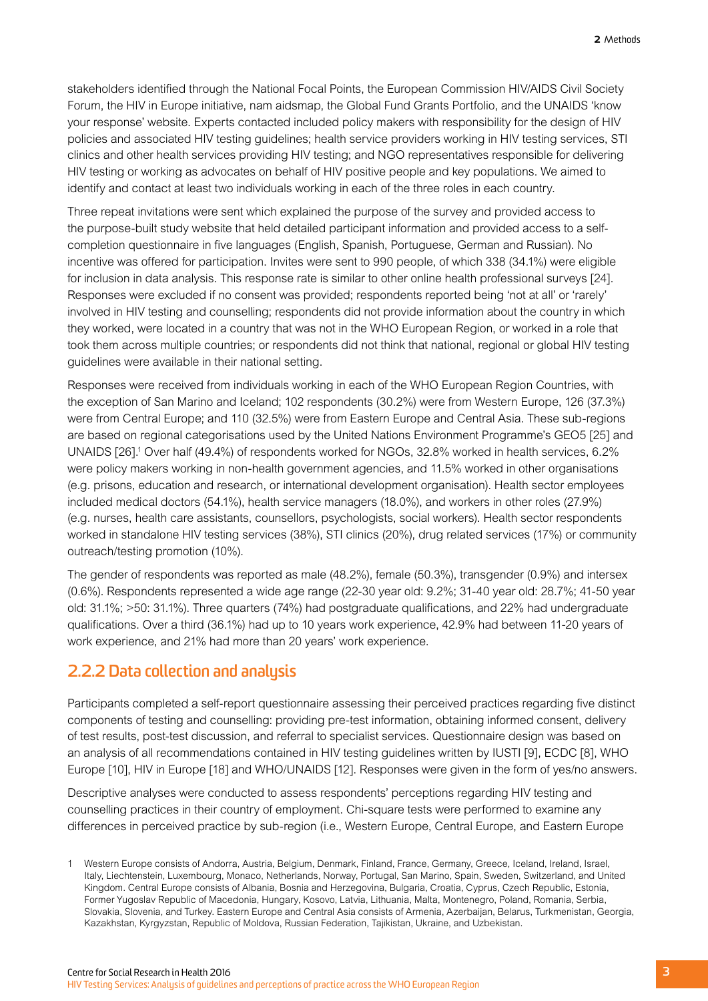<span id="page-6-0"></span>stakeholders identified through the National Focal Points, the European Commission HIV/AIDS Civil Society Forum, the HIV in Europe initiative, nam aidsmap, the Global Fund Grants Portfolio, and the UNAIDS 'know your response' website. Experts contacted included policy makers with responsibility for the design of HIV policies and associated HIV testing guidelines; health service providers working in HIV testing services, STI clinics and other health services providing HIV testing; and NGO representatives responsible for delivering HIV testing or working as advocates on behalf of HIV positive people and key populations. We aimed to identify and contact at least two individuals working in each of the three roles in each country.

Three repeat invitations were sent which explained the purpose of the survey and provided access to the purpose-built study website that held detailed participant information and provided access to a selfcompletion questionnaire in five languages (English, Spanish, Portuguese, German and Russian). No incentive was offered for participation. Invites were sent to 990 people, of which 338 (34.1%) were eligible for inclusion in data analysis. This response rate is similar to other online health professional surveys [24]. Responses were excluded if no consent was provided; respondents reported being 'not at all' or 'rarely' involved in HIV testing and counselling; respondents did not provide information about the country in which they worked, were located in a country that was not in the WHO European Region, or worked in a role that took them across multiple countries; or respondents did not think that national, regional or global HIV testing guidelines were available in their national setting.

Responses were received from individuals working in each of the WHO European Region Countries, with the exception of San Marino and Iceland; 102 respondents (30.2%) were from Western Europe, 126 (37.3%) were from Central Europe; and 110 (32.5%) were from Eastern Europe and Central Asia. These sub-regions are based on regional categorisations used by the United Nations Environment Programme's GEO5 [25] and UNAIDS [26].<sup>1</sup> Over half (49.4%) of respondents worked for NGOs, 32.8% worked in health services, 6.2% were policy makers working in non-health government agencies, and 11.5% worked in other organisations (e.g. prisons, education and research, or international development organisation). Health sector employees included medical doctors (54.1%), health service managers (18.0%), and workers in other roles (27.9%) (e.g. nurses, health care assistants, counsellors, psychologists, social workers). Health sector respondents worked in standalone HIV testing services (38%), STI clinics (20%), drug related services (17%) or community outreach/testing promotion (10%).

The gender of respondents was reported as male (48.2%), female (50.3%), transgender (0.9%) and intersex (0.6%). Respondents represented a wide age range (22-30 year old: 9.2%; 31-40 year old: 28.7%; 41-50 year old: 31.1%; >50: 31.1%). Three quarters (74%) had postgraduate qualifications, and 22% had undergraduate qualifications. Over a third (36.1%) had up to 10 years work experience, 42.9% had between 11-20 years of work experience, and 21% had more than 20 years' work experience.

#### **2.2.2 Data collection and analysis**

Participants completed a self-report questionnaire assessing their perceived practices regarding five distinct components of testing and counselling: providing pre-test information, obtaining informed consent, delivery of test results, post-test discussion, and referral to specialist services. Questionnaire design was based on an analysis of all recommendations contained in HIV testing guidelines written by IUSTI [9], ECDC [8], WHO Europe [10], HIV in Europe [18] and WHO/UNAIDS [12]. Responses were given in the form of yes/no answers.

Descriptive analyses were conducted to assess respondents' perceptions regarding HIV testing and counselling practices in their country of employment. Chi-square tests were performed to examine any differences in perceived practice by sub-region (i.e., Western Europe, Central Europe, and Eastern Europe

<sup>1</sup> Western Europe consists of Andorra, Austria, Belgium, Denmark, Finland, France, Germany, Greece, Iceland, Ireland, Israel, Italy, Liechtenstein, Luxembourg, Monaco, Netherlands, Norway, Portugal, San Marino, Spain, Sweden, Switzerland, and United Kingdom. Central Europe consists of Albania, Bosnia and Herzegovina, Bulgaria, Croatia, Cyprus, Czech Republic, Estonia, Former Yugoslav Republic of Macedonia, Hungary, Kosovo, Latvia, Lithuania, Malta, Montenegro, Poland, Romania, Serbia, Slovakia, Slovenia, and Turkey. Eastern Europe and Central Asia consists of Armenia, Azerbaijan, Belarus, Turkmenistan, Georgia, Kazakhstan, Kyrgyzstan, Republic of Moldova, Russian Federation, Tajikistan, Ukraine, and Uzbekistan.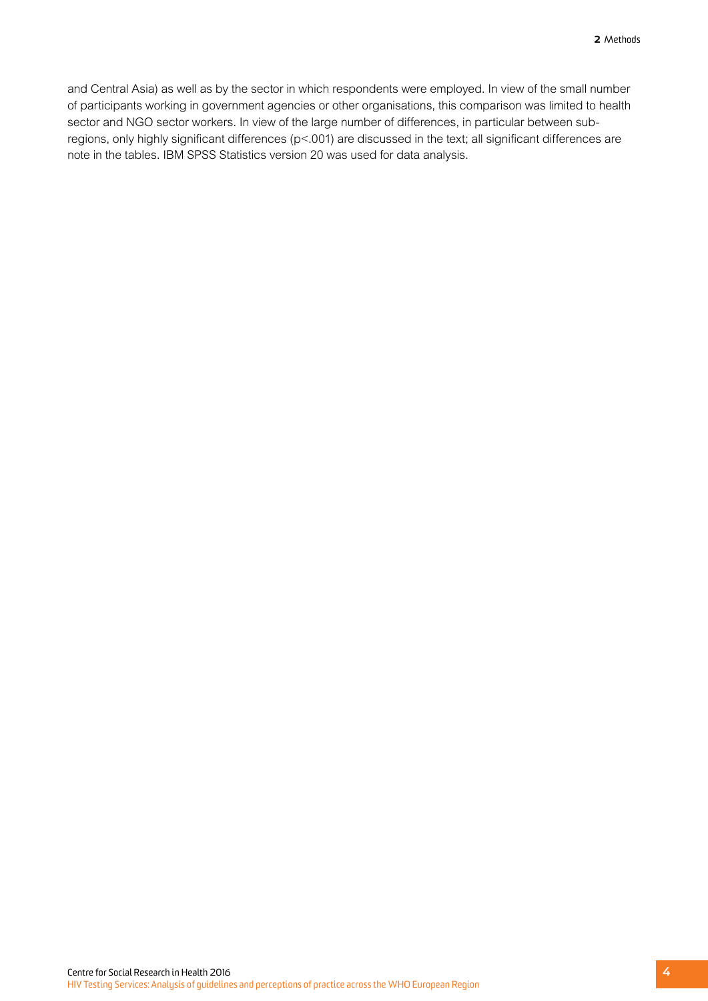and Central Asia) as well as by the sector in which respondents were employed. In view of the small number of participants working in government agencies or other organisations, this comparison was limited to health sector and NGO sector workers. In view of the large number of differences, in particular between subregions, only highly significant differences (p<.001) are discussed in the text; all significant differences are note in the tables. IBM SPSS Statistics version 20 was used for data analysis.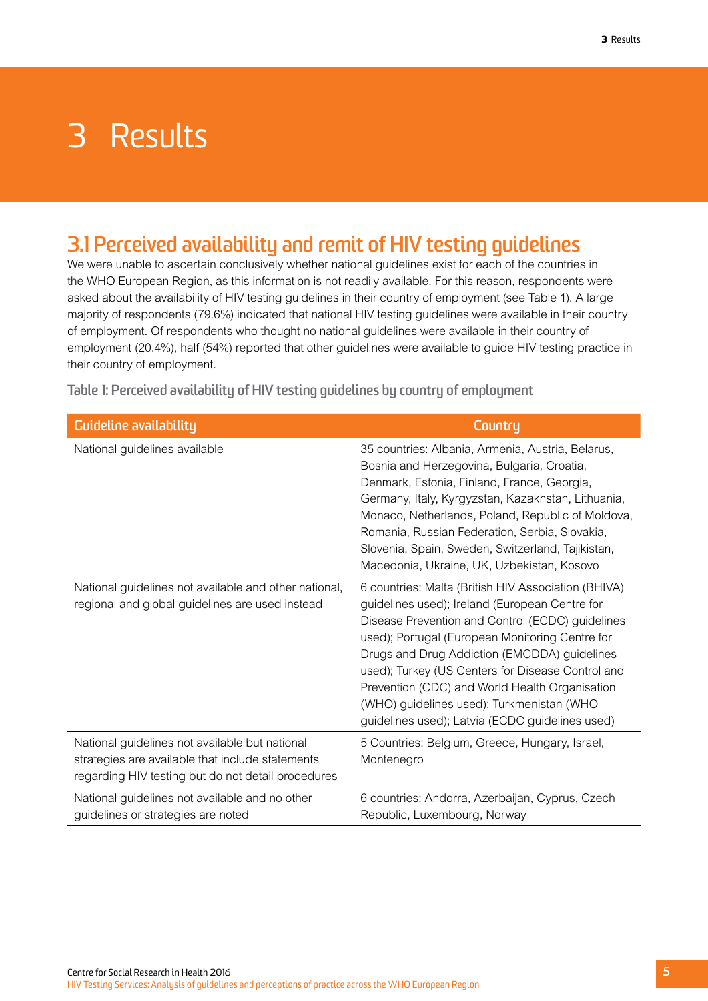# <span id="page-8-0"></span>3 Results

## **3.1 Perceived availability and remit of HIV testing guidelines**

We were unable to ascertain conclusively whether national guidelines exist for each of the countries in the WHO European Region, as this information is not readily available. For this reason, respondents were asked about the availability of HIV testing guidelines in their country of employment (see Table 1). A large majority of respondents (79.6%) indicated that national HIV testing guidelines were available in their country of employment. Of respondents who thought no national guidelines were available in their country of employment (20.4%), half (54%) reported that other guidelines were available to guide HIV testing practice in their country of employment.

**Table 1: Perceived availability of HIV testing guidelines by country of employment**

| <b>Guideline availability</b>                                                                                                                            | Countru                                                                                                                                                                                                                                                                                                                                                                                                                                                             |
|----------------------------------------------------------------------------------------------------------------------------------------------------------|---------------------------------------------------------------------------------------------------------------------------------------------------------------------------------------------------------------------------------------------------------------------------------------------------------------------------------------------------------------------------------------------------------------------------------------------------------------------|
| National guidelines available                                                                                                                            | 35 countries: Albania, Armenia, Austria, Belarus,<br>Bosnia and Herzegovina, Bulgaria, Croatia,<br>Denmark, Estonia, Finland, France, Georgia,<br>Germany, Italy, Kyrgyzstan, Kazakhstan, Lithuania,<br>Monaco, Netherlands, Poland, Republic of Moldova,<br>Romania, Russian Federation, Serbia, Slovakia,<br>Slovenia, Spain, Sweden, Switzerland, Tajikistan,<br>Macedonia, Ukraine, UK, Uzbekistan, Kosovo                                                      |
| National guidelines not available and other national,<br>regional and global guidelines are used instead                                                 | 6 countries: Malta (British HIV Association (BHIVA)<br>guidelines used); Ireland (European Centre for<br>Disease Prevention and Control (ECDC) guidelines<br>used); Portugal (European Monitoring Centre for<br>Drugs and Drug Addiction (EMCDDA) guidelines<br>used); Turkey (US Centers for Disease Control and<br>Prevention (CDC) and World Health Organisation<br>(WHO) guidelines used); Turkmenistan (WHO<br>guidelines used); Latvia (ECDC guidelines used) |
| National guidelines not available but national<br>strategies are available that include statements<br>regarding HIV testing but do not detail procedures | 5 Countries: Belgium, Greece, Hungary, Israel,<br>Montenegro                                                                                                                                                                                                                                                                                                                                                                                                        |
| National guidelines not available and no other<br>guidelines or strategies are noted                                                                     | 6 countries: Andorra, Azerbaijan, Cyprus, Czech<br>Republic, Luxembourg, Norway                                                                                                                                                                                                                                                                                                                                                                                     |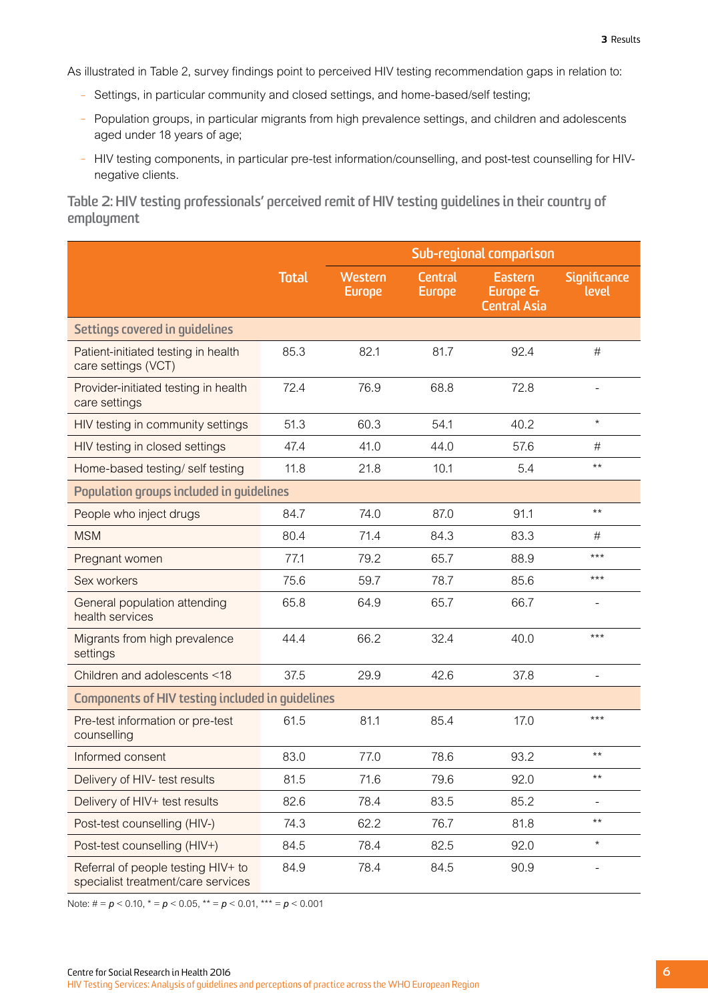<span id="page-9-0"></span>As illustrated in Table 2, survey findings point to perceived HIV testing recommendation gaps in relation to:

- Settings, in particular community and closed settings, and home-based/self testing;
- Population groups, in particular migrants from high prevalence settings, and children and adolescents aged under 18 years of age;
- HIV testing components, in particular pre-test information/counselling, and post-test counselling for HIVnegative clients.

**Table 2: HIV testing professionals' perceived remit of HIV testing guidelines in their country of employment**

|                                                                          |              | Sub-regional comparison  |                                 |                                                   |                       |  |  |  |
|--------------------------------------------------------------------------|--------------|--------------------------|---------------------------------|---------------------------------------------------|-----------------------|--|--|--|
|                                                                          | <b>Total</b> | Western<br><b>Europe</b> | <b>Central</b><br><b>Europe</b> | <b>Eastern</b><br>Europe &<br><b>Central Asia</b> | Significance<br>level |  |  |  |
| Settings covered in guidelines                                           |              |                          |                                 |                                                   |                       |  |  |  |
| Patient-initiated testing in health<br>care settings (VCT)               | 85.3         | 82.1                     | 81.7                            | 92.4                                              | #                     |  |  |  |
| Provider-initiated testing in health<br>care settings                    | 72.4         | 76.9                     | 68.8                            | 72.8                                              |                       |  |  |  |
| HIV testing in community settings                                        | 51.3         | 60.3                     | 54.1                            | 40.2                                              | $\star$               |  |  |  |
| HIV testing in closed settings                                           | 47.4         | 41.0                     | 44.0                            | 57.6                                              | #                     |  |  |  |
| Home-based testing/ self testing                                         | 11.8         | 21.8                     | 10.1                            | 5.4                                               | $***$                 |  |  |  |
| Population groups included in guidelines                                 |              |                          |                                 |                                                   |                       |  |  |  |
| People who inject drugs                                                  | 84.7         | 74.0                     | 87.0                            | 91.1                                              | $***$                 |  |  |  |
| <b>MSM</b>                                                               | 80.4         | 71.4                     | 84.3                            | 83.3                                              | #                     |  |  |  |
| Pregnant women                                                           | 77.1         | 79.2                     | 65.7                            | 88.9                                              | $***$                 |  |  |  |
| Sex workers                                                              | 75.6         | 59.7                     | 78.7                            | 85.6                                              | $***$                 |  |  |  |
| General population attending<br>health services                          | 65.8         | 64.9                     | 65.7                            | 66.7                                              |                       |  |  |  |
| Migrants from high prevalence<br>settings                                | 44.4         | 66.2                     | 32.4                            | 40.0                                              | $***$                 |  |  |  |
| Children and adolescents <18                                             | 37.5         | 29.9                     | 42.6                            | 37.8                                              | ÷,                    |  |  |  |
| Components of HIV testing included in guidelines                         |              |                          |                                 |                                                   |                       |  |  |  |
| Pre-test information or pre-test<br>counselling                          | 61.5         | 81.1                     | 85.4                            | 17.0                                              | $***$                 |  |  |  |
| Informed consent                                                         | 83.0         | 77.0                     | 78.6                            | 93.2                                              | $***$                 |  |  |  |
| Delivery of HIV- test results                                            | 81.5         | 71.6                     | 79.6                            | 92.0                                              | $***$                 |  |  |  |
| Delivery of HIV+ test results                                            | 82.6         | 78.4                     | 83.5                            | 85.2                                              |                       |  |  |  |
| Post-test counselling (HIV-)                                             | 74.3         | 62.2                     | 76.7                            | 81.8                                              | $***$                 |  |  |  |
| Post-test counselling (HIV+)                                             | 84.5         | 78.4                     | 82.5                            | 92.0                                              | $\star$               |  |  |  |
| Referral of people testing HIV+ to<br>specialist treatment/care services | 84.9         | 78.4                     | 84.5                            | 90.9                                              |                       |  |  |  |

Note: # = *p* < 0.10, \* = *p* < 0.05, \*\* = *p* < 0.01, \*\*\* = *p* < 0.001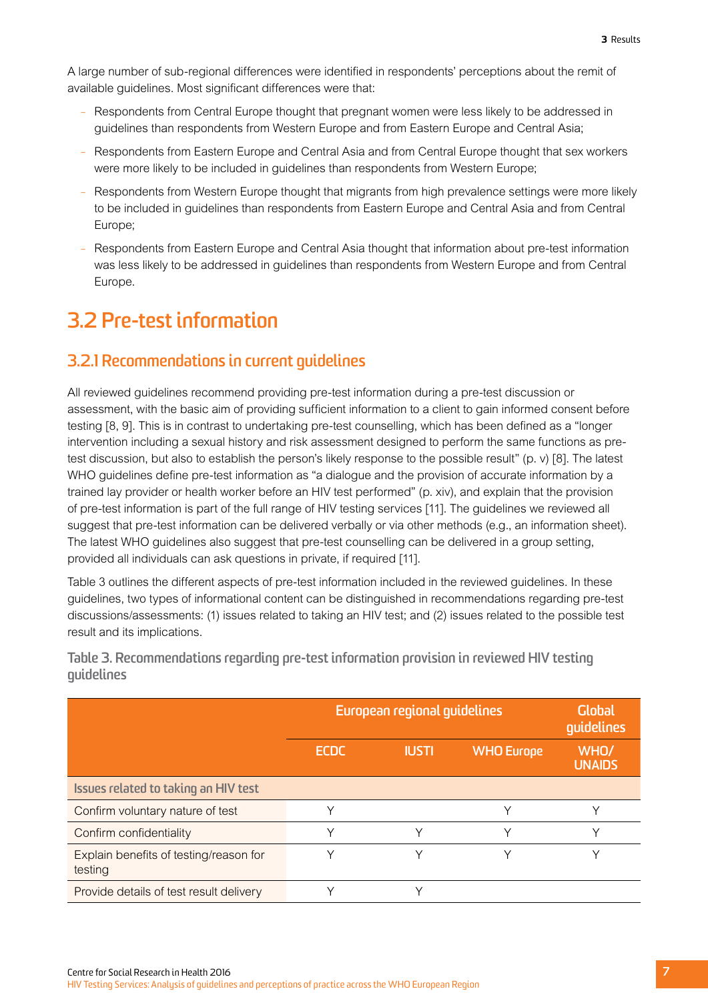<span id="page-10-0"></span>A large number of sub-regional differences were identified in respondents' perceptions about the remit of available guidelines. Most significant differences were that:

- Respondents from Central Europe thought that pregnant women were less likely to be addressed in guidelines than respondents from Western Europe and from Eastern Europe and Central Asia;
- Respondents from Eastern Europe and Central Asia and from Central Europe thought that sex workers were more likely to be included in guidelines than respondents from Western Europe;
- Respondents from Western Europe thought that migrants from high prevalence settings were more likely to be included in guidelines than respondents from Eastern Europe and Central Asia and from Central Europe;
- Respondents from Eastern Europe and Central Asia thought that information about pre-test information was less likely to be addressed in guidelines than respondents from Western Europe and from Central Europe.

## **3.2 Pre-test information**

### **3.2.1 Recommendations in current guidelines**

All reviewed guidelines recommend providing pre-test information during a pre-test discussion or assessment, with the basic aim of providing sufficient information to a client to gain informed consent before testing [8, 9]. This is in contrast to undertaking pre-test counselling, which has been defined as a "longer intervention including a sexual history and risk assessment designed to perform the same functions as pretest discussion, but also to establish the person's likely response to the possible result" (p. v) [8]. The latest WHO quidelines define pre-test information as "a dialoque and the provision of accurate information by a trained lay provider or health worker before an HIV test performed" (p. xiv), and explain that the provision of pre-test information is part of the full range of HIV testing services [11]. The guidelines we reviewed all suggest that pre-test information can be delivered verbally or via other methods (e.g., an information sheet). The latest WHO guidelines also suggest that pre-test counselling can be delivered in a group setting, provided all individuals can ask questions in private, if required [11].

Table 3 outlines the different aspects of pre-test information included in the reviewed guidelines. In these guidelines, two types of informational content can be distinguished in recommendations regarding pre-test discussions/assessments: (1) issues related to taking an HIV test; and (2) issues related to the possible test result and its implications.

|                                                   | European regional guidelines | <b>Global</b><br>quidelines |                   |                       |
|---------------------------------------------------|------------------------------|-----------------------------|-------------------|-----------------------|
|                                                   | <b>ECDC</b>                  | <b>IUSTI</b>                | <b>WHO Europe</b> | WHO/<br><b>UNAIDS</b> |
| Issues related to taking an HIV test              |                              |                             |                   |                       |
| Confirm voluntary nature of test                  |                              |                             | ◡                 |                       |
| Confirm confidentiality                           | ٧                            |                             | $\checkmark$      |                       |
| Explain benefits of testing/reason for<br>testing |                              |                             |                   |                       |
| Provide details of test result delivery           |                              |                             |                   |                       |

**Table 3. Recommendations regarding pre-test information provision in reviewed HIV testing guidelines**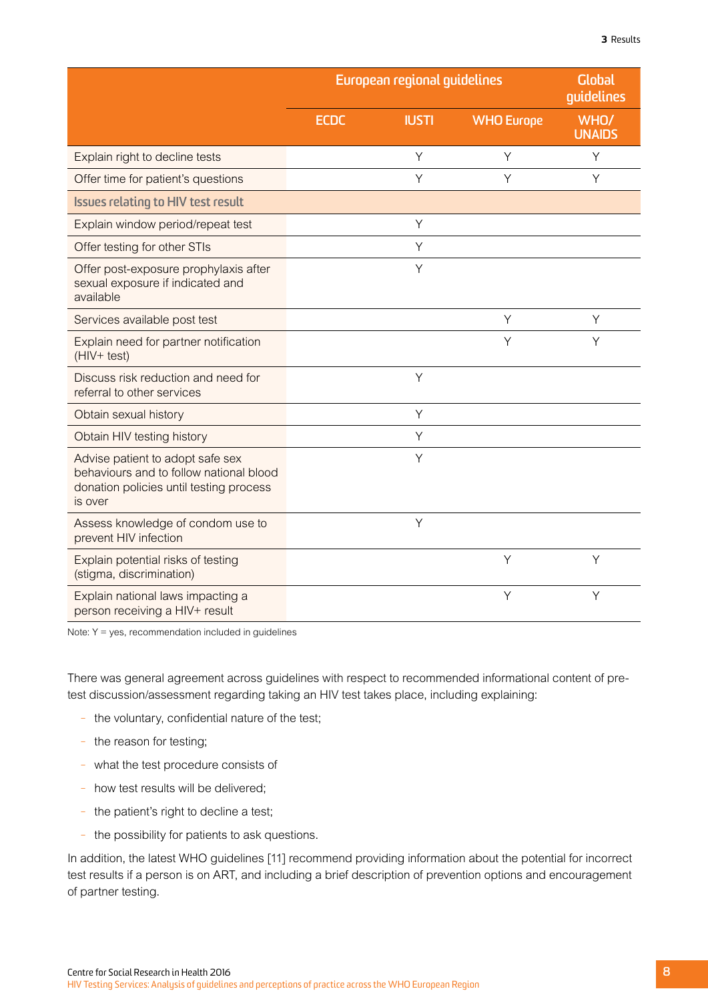|                                                                                                                                   |             | European regional guidelines |                   | <b>Global</b><br>guidelines |
|-----------------------------------------------------------------------------------------------------------------------------------|-------------|------------------------------|-------------------|-----------------------------|
|                                                                                                                                   | <b>ECDC</b> | <b>IUSTI</b>                 | <b>WHO Europe</b> | WHO/<br><b>UNAIDS</b>       |
| Explain right to decline tests                                                                                                    |             | Y                            | Y                 | Y                           |
| Offer time for patient's questions                                                                                                |             | Y                            | Υ                 | Υ                           |
| <b>Issues relating to HIV test result</b>                                                                                         |             |                              |                   |                             |
| Explain window period/repeat test                                                                                                 |             | Υ                            |                   |                             |
| Offer testing for other STIs                                                                                                      |             | Y                            |                   |                             |
| Offer post-exposure prophylaxis after<br>sexual exposure if indicated and<br>available                                            |             | Y                            |                   |                             |
| Services available post test                                                                                                      |             |                              | Y                 | Y                           |
| Explain need for partner notification<br>$(HIV+ test)$                                                                            |             |                              | Y                 | Y                           |
| Discuss risk reduction and need for<br>referral to other services                                                                 |             | Y                            |                   |                             |
| Obtain sexual history                                                                                                             |             | Y                            |                   |                             |
| Obtain HIV testing history                                                                                                        |             | Υ                            |                   |                             |
| Advise patient to adopt safe sex<br>behaviours and to follow national blood<br>donation policies until testing process<br>is over |             | Y                            |                   |                             |
| Assess knowledge of condom use to<br>prevent HIV infection                                                                        |             | Y                            |                   |                             |
| Explain potential risks of testing                                                                                                |             |                              | Y                 | Y                           |

Explain national laws impacting a person receiving a HIV+ result

(stigma, discrimination)

Note:  $Y = yes$ , recommendation included in guidelines

There was general agreement across guidelines with respect to recommended informational content of pretest discussion/assessment regarding taking an HIV test takes place, including explaining:

- the voluntary, confidential nature of the test;
- the reason for testing;
- what the test procedure consists of
- how test results will be delivered;
- the patient's right to decline a test;
- the possibility for patients to ask questions.

In addition, the latest WHO guidelines [11] recommend providing information about the potential for incorrect test results if a person is on ART, and including a brief description of prevention options and encouragement of partner testing.

Y Y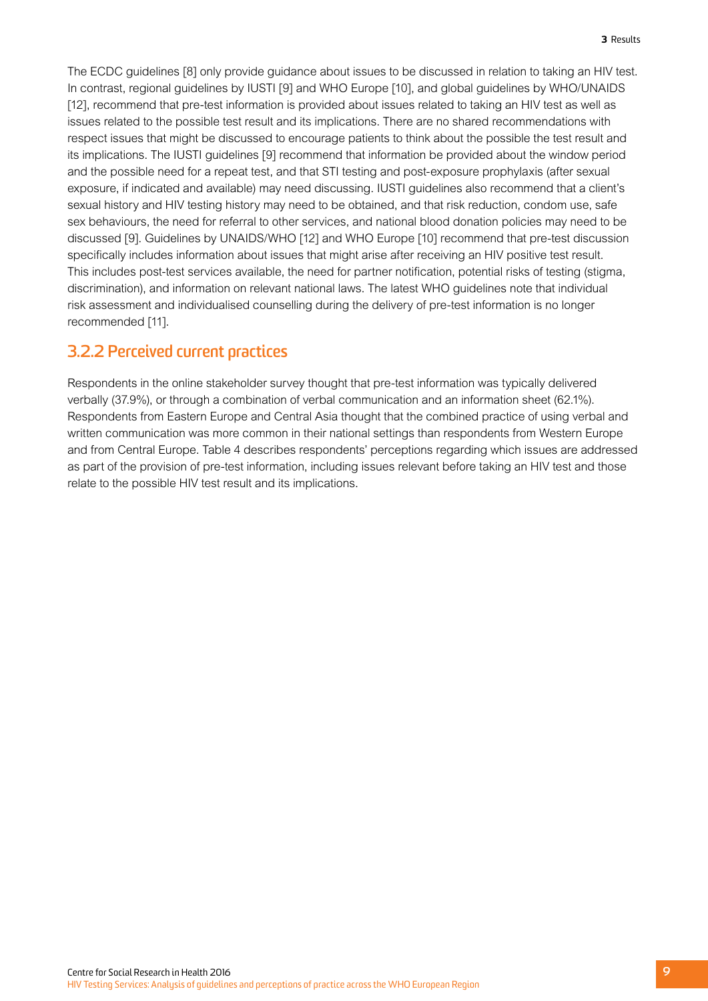The ECDC guidelines [8] only provide guidance about issues to be discussed in relation to taking an HIV test. In contrast, regional guidelines by IUSTI [9] and WHO Europe [10], and global guidelines by WHO/UNAIDS [12], recommend that pre-test information is provided about issues related to taking an HIV test as well as issues related to the possible test result and its implications. There are no shared recommendations with respect issues that might be discussed to encourage patients to think about the possible the test result and its implications. The IUSTI guidelines [9] recommend that information be provided about the window period and the possible need for a repeat test, and that STI testing and post-exposure prophylaxis (after sexual exposure, if indicated and available) may need discussing. IUSTI guidelines also recommend that a client's sexual history and HIV testing history may need to be obtained, and that risk reduction, condom use, safe sex behaviours, the need for referral to other services, and national blood donation policies may need to be discussed [9]. Guidelines by UNAIDS/WHO [12] and WHO Europe [10] recommend that pre-test discussion specifically includes information about issues that might arise after receiving an HIV positive test result. This includes post-test services available, the need for partner notification, potential risks of testing (stigma, discrimination), and information on relevant national laws. The latest WHO guidelines note that individual risk assessment and individualised counselling during the delivery of pre-test information is no longer recommended [11].

#### **3.2.2 Perceived current practices**

Respondents in the online stakeholder survey thought that pre-test information was typically delivered verbally (37.9%), or through a combination of verbal communication and an information sheet (62.1%). Respondents from Eastern Europe and Central Asia thought that the combined practice of using verbal and written communication was more common in their national settings than respondents from Western Europe and from Central Europe. Table 4 describes respondents' perceptions regarding which issues are addressed as part of the provision of pre-test information, including issues relevant before taking an HIV test and those relate to the possible HIV test result and its implications.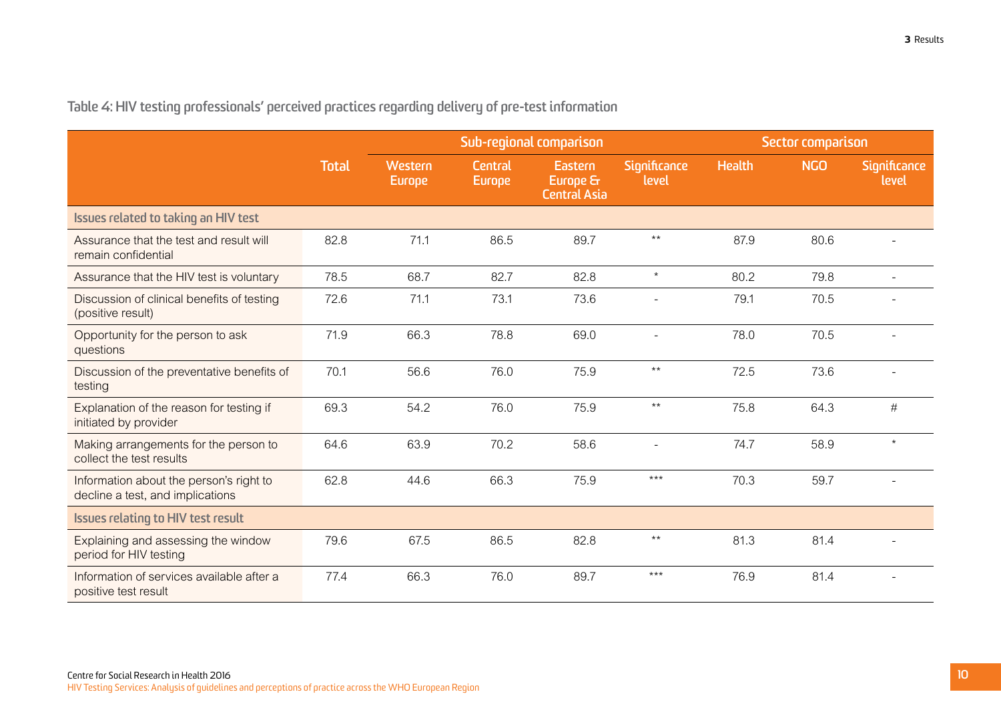<span id="page-13-0"></span>**Table 4: HIV testing professionals' perceived practices regarding delivery of pre-test information** 

|                                                                             |              | Sub-regional comparison  |                          |                                            | Sector comparison            |               |            |                       |
|-----------------------------------------------------------------------------|--------------|--------------------------|--------------------------|--------------------------------------------|------------------------------|---------------|------------|-----------------------|
|                                                                             | <b>Total</b> | Western<br><b>Europe</b> | Central<br><b>Europe</b> | Eastern<br>Europe &<br><b>Central Asia</b> | <b>Significance</b><br>level | <b>Health</b> | <b>NGO</b> | Significance<br>level |
| Issues related to taking an HIV test                                        |              |                          |                          |                                            |                              |               |            |                       |
| Assurance that the test and result will<br>remain confidential              | 82.8         | 71.1                     | 86.5                     | 89.7                                       | $***$                        | 87.9          | 80.6       |                       |
| Assurance that the HIV test is voluntary                                    | 78.5         | 68.7                     | 82.7                     | 82.8                                       | $\star$                      | 80.2          | 79.8       | $\sim$                |
| Discussion of clinical benefits of testing<br>(positive result)             | 72.6         | 71.1                     | 73.1                     | 73.6                                       |                              | 79.1          | 70.5       |                       |
| Opportunity for the person to ask<br>questions                              | 71.9         | 66.3                     | 78.8                     | 69.0                                       | $\overline{a}$               | 78.0          | 70.5       |                       |
| Discussion of the preventative benefits of<br>testing                       | 70.1         | 56.6                     | 76.0                     | 75.9                                       | $***$                        | 72.5          | 73.6       | $\blacksquare$        |
| Explanation of the reason for testing if<br>initiated by provider           | 69.3         | 54.2                     | 76.0                     | 75.9                                       | $***$                        | 75.8          | 64.3       | #                     |
| Making arrangements for the person to<br>collect the test results           | 64.6         | 63.9                     | 70.2                     | 58.6                                       | $\overline{\phantom{a}}$     | 74.7          | 58.9       | $\star$               |
| Information about the person's right to<br>decline a test, and implications | 62.8         | 44.6                     | 66.3                     | 75.9                                       | $***$                        | 70.3          | 59.7       |                       |
| Issues relating to HIV test result                                          |              |                          |                          |                                            |                              |               |            |                       |
| Explaining and assessing the window<br>period for HIV testing               | 79.6         | 67.5                     | 86.5                     | 82.8                                       | $***$                        | 81.3          | 81.4       |                       |
| Information of services available after a<br>positive test result           | 77.4         | 66.3                     | 76.0                     | 89.7                                       | $***$                        | 76.9          | 81.4       |                       |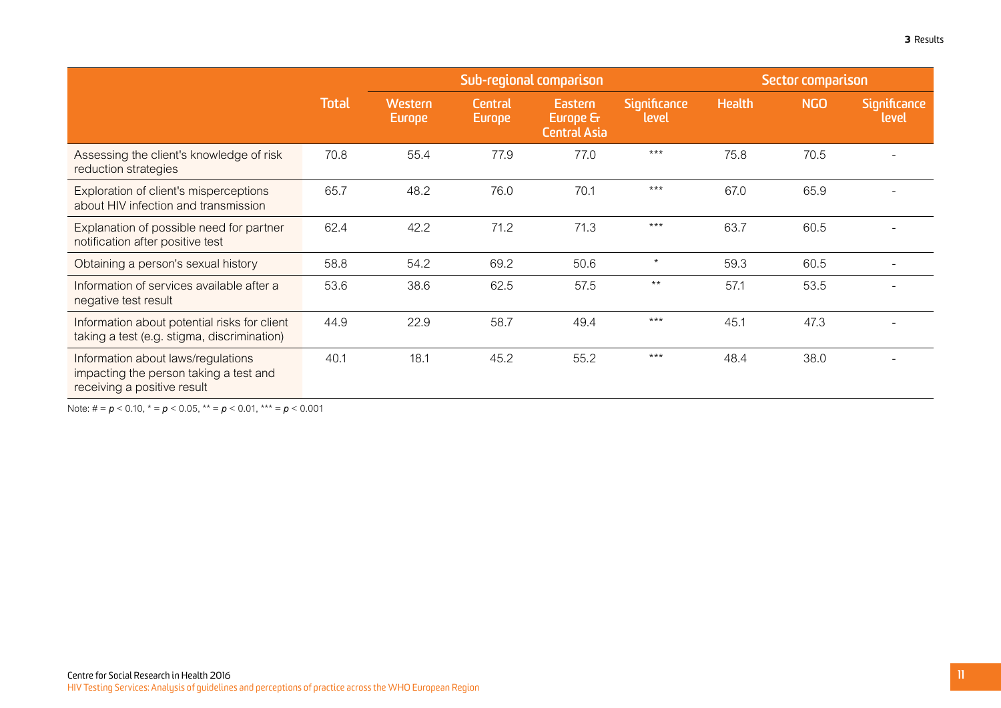|                                                                                                             |              | Sub-regional comparison         |                   |                                                   |                              | Sector comparison |            |                              |
|-------------------------------------------------------------------------------------------------------------|--------------|---------------------------------|-------------------|---------------------------------------------------|------------------------------|-------------------|------------|------------------------------|
|                                                                                                             | <b>Total</b> | <b>Western</b><br><b>Europe</b> | Central<br>Europe | <b>Eastern</b><br>Europe &<br><b>Central Asia</b> | <b>Significance</b><br>level | <b>Health</b>     | <b>NGO</b> | <b>Significance</b><br>level |
| Assessing the client's knowledge of risk<br>reduction strategies                                            | 70.8         | 55.4                            | 77.9              | 77.0                                              | $***$                        | 75.8              | 70.5       |                              |
| Exploration of client's misperceptions<br>about HIV infection and transmission                              | 65.7         | 48.2                            | 76.0              | 70.1                                              | $***$                        | 67.0              | 65.9       |                              |
| Explanation of possible need for partner<br>notification after positive test                                | 62.4         | 42.2                            | 71.2              | 71.3                                              | $***$                        | 63.7              | 60.5       |                              |
| Obtaining a person's sexual history                                                                         | 58.8         | 54.2                            | 69.2              | 50.6                                              | $\star$                      | 59.3              | 60.5       |                              |
| Information of services available after a<br>negative test result                                           | 53.6         | 38.6                            | 62.5              | 57.5                                              | $***$                        | 57.1              | 53.5       |                              |
| Information about potential risks for client<br>taking a test (e.g. stigma, discrimination)                 | 44.9         | 22.9                            | 58.7              | 49.4                                              | $***$                        | 45.1              | 47.3       |                              |
| Information about laws/regulations<br>impacting the person taking a test and<br>receiving a positive result | 40.1         | 18.1                            | 45.2              | 55.2                                              | $***$                        | 48.4              | 38.0       |                              |

Note: # = *p* < 0.10, \* = *p* < 0.05, \*\* = *p* < 0.01, \*\*\* = *p* < 0.001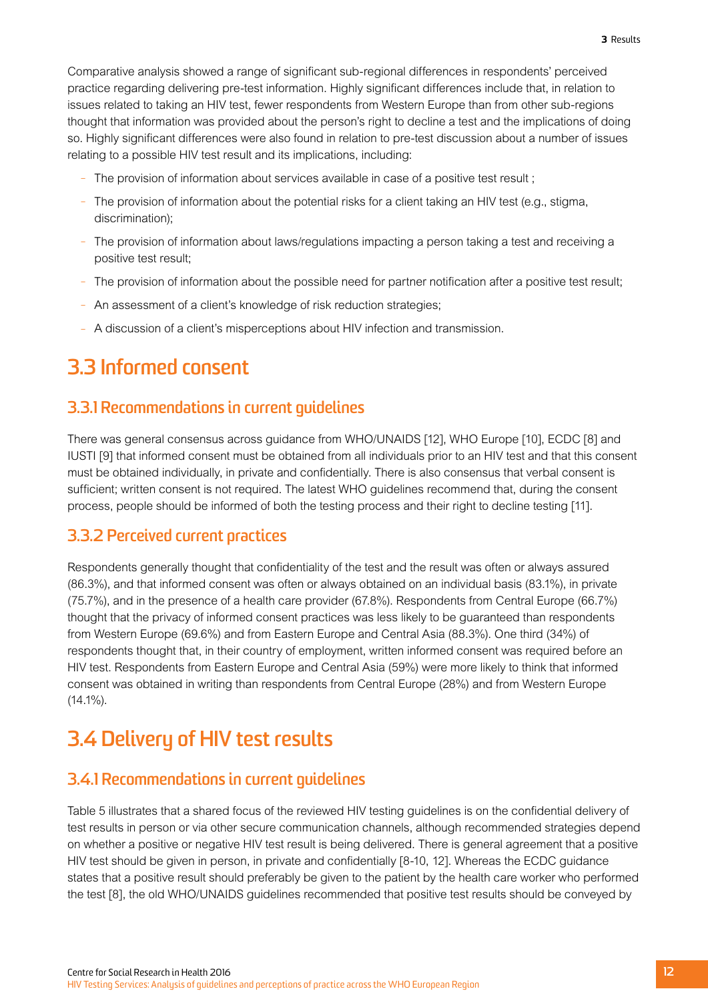<span id="page-15-0"></span>Comparative analysis showed a range of significant sub-regional differences in respondents' perceived practice regarding delivering pre-test information. Highly significant differences include that, in relation to issues related to taking an HIV test, fewer respondents from Western Europe than from other sub-regions thought that information was provided about the person's right to decline a test and the implications of doing so. Highly significant differences were also found in relation to pre-test discussion about a number of issues relating to a possible HIV test result and its implications, including:

- The provision of information about services available in case of a positive test result ;
- The provision of information about the potential risks for a client taking an HIV test (e.g., stigma, discrimination);
- The provision of information about laws/regulations impacting a person taking a test and receiving a positive test result;
- The provision of information about the possible need for partner notification after a positive test result;
- An assessment of a client's knowledge of risk reduction strategies;
- A discussion of a client's misperceptions about HIV infection and transmission.

## **3.3 Informed consent**

#### **3.3.1 Recommendations in current guidelines**

There was general consensus across guidance from WHO/UNAIDS [12], WHO Europe [10], ECDC [8] and IUSTI [9] that informed consent must be obtained from all individuals prior to an HIV test and that this consent must be obtained individually, in private and confidentially. There is also consensus that verbal consent is sufficient; written consent is not required. The latest WHO guidelines recommend that, during the consent process, people should be informed of both the testing process and their right to decline testing [11].

#### **3.3.2 Perceived current practices**

Respondents generally thought that confidentiality of the test and the result was often or always assured (86.3%), and that informed consent was often or always obtained on an individual basis (83.1%), in private (75.7%), and in the presence of a health care provider (67.8%). Respondents from Central Europe (66.7%) thought that the privacy of informed consent practices was less likely to be guaranteed than respondents from Western Europe (69.6%) and from Eastern Europe and Central Asia (88.3%). One third (34%) of respondents thought that, in their country of employment, written informed consent was required before an HIV test. Respondents from Eastern Europe and Central Asia (59%) were more likely to think that informed consent was obtained in writing than respondents from Central Europe (28%) and from Western Europe  $(14.1\%)$ .

## **3.4 Delivery of HIV test results**

### **3.4.1 Recommendations in current guidelines**

Table 5 illustrates that a shared focus of the reviewed HIV testing guidelines is on the confidential delivery of test results in person or via other secure communication channels, although recommended strategies depend on whether a positive or negative HIV test result is being delivered. There is general agreement that a positive HIV test should be given in person, in private and confidentially [8-10, 12]. Whereas the ECDC guidance states that a positive result should preferably be given to the patient by the health care worker who performed the test [8], the old WHO/UNAIDS guidelines recommended that positive test results should be conveyed by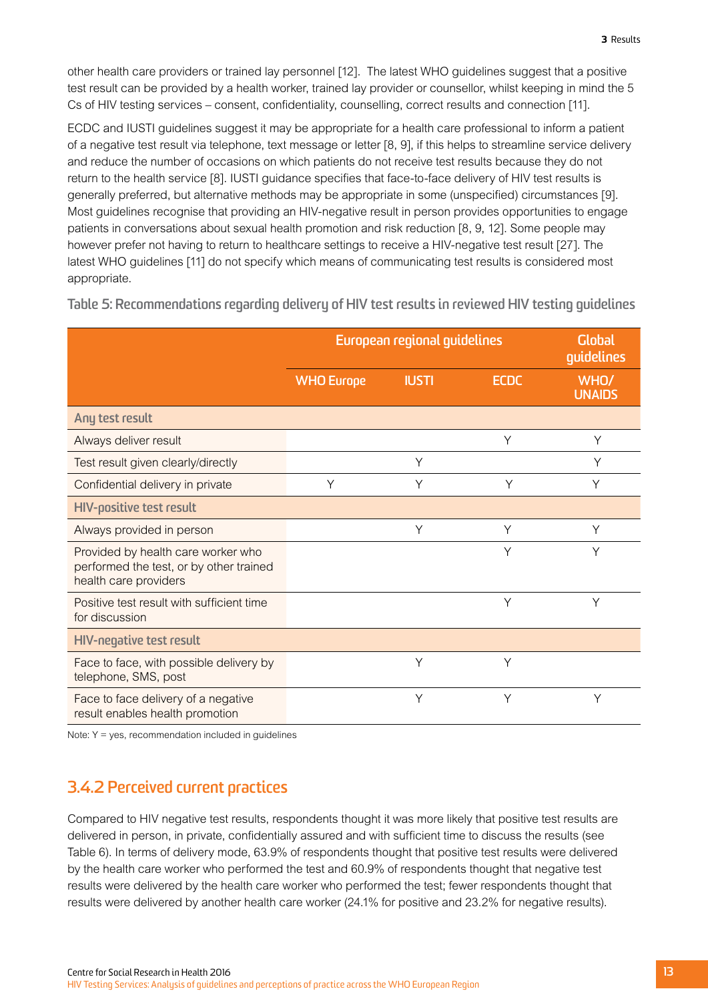<span id="page-16-0"></span>other health care providers or trained lay personnel [12]. The latest WHO guidelines suggest that a positive test result can be provided by a health worker, trained lay provider or counsellor, whilst keeping in mind the 5 Cs of HIV testing services – consent, confidentiality, counselling, correct results and connection [11].

ECDC and IUSTI guidelines suggest it may be appropriate for a health care professional to inform a patient of a negative test result via telephone, text message or letter [8, 9], if this helps to streamline service delivery and reduce the number of occasions on which patients do not receive test results because they do not return to the health service [8]. IUSTI guidance specifies that face-to-face delivery of HIV test results is generally preferred, but alternative methods may be appropriate in some (unspecified) circumstances [9]. Most guidelines recognise that providing an HIV-negative result in person provides opportunities to engage patients in conversations about sexual health promotion and risk reduction [8, 9, 12]. Some people may however prefer not having to return to healthcare settings to receive a HIV-negative test result [27]. The latest WHO guidelines [11] do not specify which means of communicating test results is considered most appropriate.

|                                                                                                        | European regional guidelines |              | <b>Global</b><br>guidelines |                       |
|--------------------------------------------------------------------------------------------------------|------------------------------|--------------|-----------------------------|-----------------------|
|                                                                                                        | <b>WHO Europe</b>            | <b>IUSTI</b> | <b>ECDC</b>                 | WHO/<br><b>UNAIDS</b> |
| Any test result                                                                                        |                              |              |                             |                       |
| Always deliver result                                                                                  |                              |              | Y                           | Y                     |
| Test result given clearly/directly                                                                     |                              | Y            |                             | Υ                     |
| Confidential delivery in private                                                                       | Y                            | Y            | Y                           | Y                     |
| <b>HIV-positive test result</b>                                                                        |                              |              |                             |                       |
| Always provided in person                                                                              |                              | Y            | Υ                           | Υ                     |
| Provided by health care worker who<br>performed the test, or by other trained<br>health care providers |                              |              | Y                           | Υ                     |
| Positive test result with sufficient time<br>for discussion                                            |                              |              | Υ                           | Υ                     |
| <b>HIV-negative test result</b>                                                                        |                              |              |                             |                       |
| Face to face, with possible delivery by<br>telephone, SMS, post                                        |                              | Y            | Y                           |                       |
| Face to face delivery of a negative<br>result enables health promotion                                 |                              | Y            | Υ                           | Υ                     |

**Table 5: Recommendations regarding delivery of HIV test results in reviewed HIV testing guidelines**

Note: Y = yes, recommendation included in guidelines

## **3.4.2 Perceived current practices**

Compared to HIV negative test results, respondents thought it was more likely that positive test results are delivered in person, in private, confidentially assured and with sufficient time to discuss the results (see Table 6). In terms of delivery mode, 63.9% of respondents thought that positive test results were delivered by the health care worker who performed the test and 60.9% of respondents thought that negative test results were delivered by the health care worker who performed the test; fewer respondents thought that results were delivered by another health care worker (24.1% for positive and 23.2% for negative results).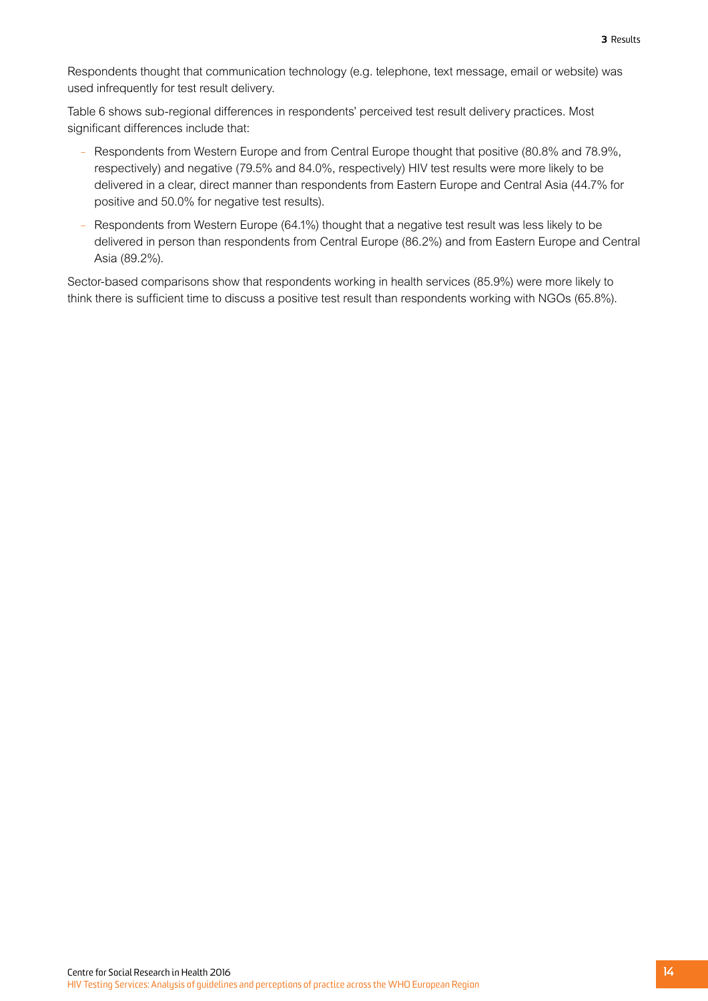Respondents thought that communication technology (e.g. telephone, text message, email or website) was used infrequently for test result delivery.

Table 6 shows sub-regional differences in respondents' perceived test result delivery practices. Most significant differences include that:

- Respondents from Western Europe and from Central Europe thought that positive (80.8% and 78.9%, respectively) and negative (79.5% and 84.0%, respectively) HIV test results were more likely to be delivered in a clear, direct manner than respondents from Eastern Europe and Central Asia (44.7% for positive and 50.0% for negative test results).
- Respondents from Western Europe (64.1%) thought that a negative test result was less likely to be delivered in person than respondents from Central Europe (86.2%) and from Eastern Europe and Central Asia (89.2%).

Sector-based comparisons show that respondents working in health services (85.9%) were more likely to think there is sufficient time to discuss a positive test result than respondents working with NGOs (65.8%).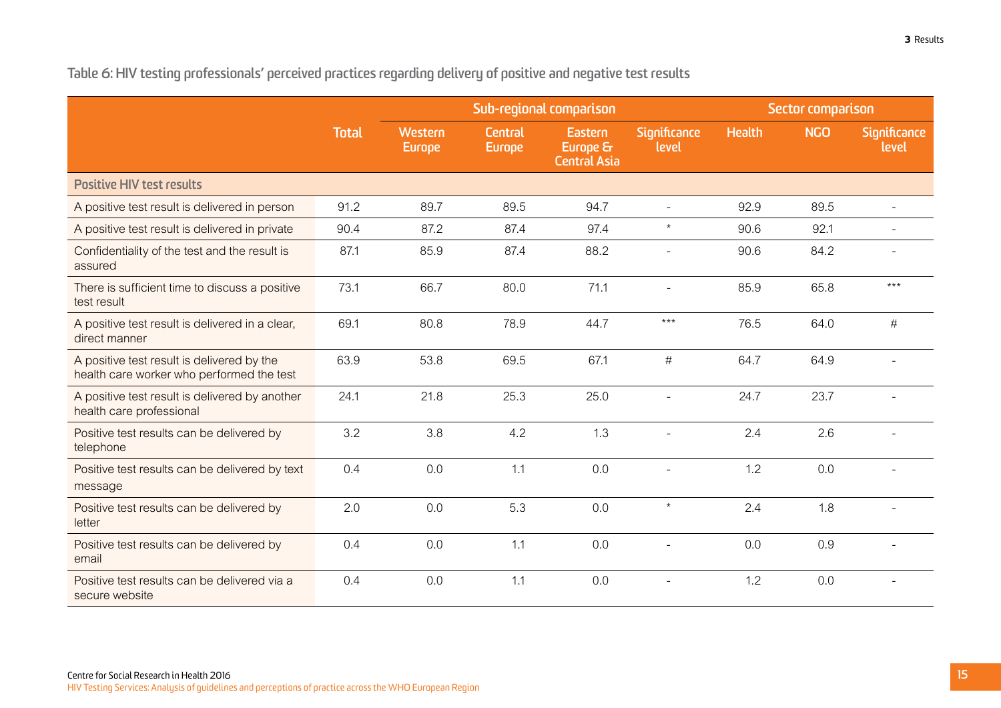<span id="page-18-0"></span>**Table 6: HIV testing professionals' perceived practices regarding delivery of positive and negative test results**

|                                                                                         |              |                          |                          | Sub-regional comparison                    |                       | Sector comparison |            |                          |
|-----------------------------------------------------------------------------------------|--------------|--------------------------|--------------------------|--------------------------------------------|-----------------------|-------------------|------------|--------------------------|
|                                                                                         | <b>Total</b> | Western<br><b>Europe</b> | Central<br><b>Europe</b> | Eastern<br>Europe &<br><b>Central Asia</b> | Significance<br>level | <b>Health</b>     | <b>NGO</b> | Significance<br>level    |
| <b>Positive HIV test results</b>                                                        |              |                          |                          |                                            |                       |                   |            |                          |
| A positive test result is delivered in person                                           | 91.2         | 89.7                     | 89.5                     | 94.7                                       | $\sim$                | 92.9              | 89.5       | $\overline{\phantom{0}}$ |
| A positive test result is delivered in private                                          | 90.4         | 87.2                     | 87.4                     | 97.4                                       | $\star$               | 90.6              | 92.1       |                          |
| Confidentiality of the test and the result is<br>assured                                | 87.1         | 85.9                     | 87.4                     | 88.2                                       |                       | 90.6              | 84.2       |                          |
| There is sufficient time to discuss a positive<br>test result                           | 73.1         | 66.7                     | 80.0                     | 71.1                                       |                       | 85.9              | 65.8       | $***$                    |
| A positive test result is delivered in a clear,<br>direct manner                        | 69.1         | 80.8                     | 78.9                     | 44.7                                       | $***$                 | 76.5              | 64.0       | #                        |
| A positive test result is delivered by the<br>health care worker who performed the test | 63.9         | 53.8                     | 69.5                     | 67.1                                       | $\#$                  | 64.7              | 64.9       |                          |
| A positive test result is delivered by another<br>health care professional              | 24.1         | 21.8                     | 25.3                     | 25.0                                       |                       | 24.7              | 23.7       |                          |
| Positive test results can be delivered by<br>telephone                                  | 3.2          | 3.8                      | 4.2                      | 1.3                                        |                       | 2.4               | 2.6        |                          |
| Positive test results can be delivered by text<br>message                               | 0.4          | 0.0                      | 1.1                      | 0.0                                        |                       | 1.2               | 0.0        |                          |
| Positive test results can be delivered by<br>letter                                     | 2.0          | 0.0                      | 5.3                      | 0.0                                        | $\star$               | 2.4               | 1.8        | L.                       |
| Positive test results can be delivered by<br>email                                      | 0.4          | 0.0                      | 1.1                      | 0.0                                        |                       | 0.0               | 0.9        |                          |
| Positive test results can be delivered via a<br>secure website                          | 0.4          | 0.0                      | 1.1                      | 0.0                                        |                       | 1.2               | 0.0        |                          |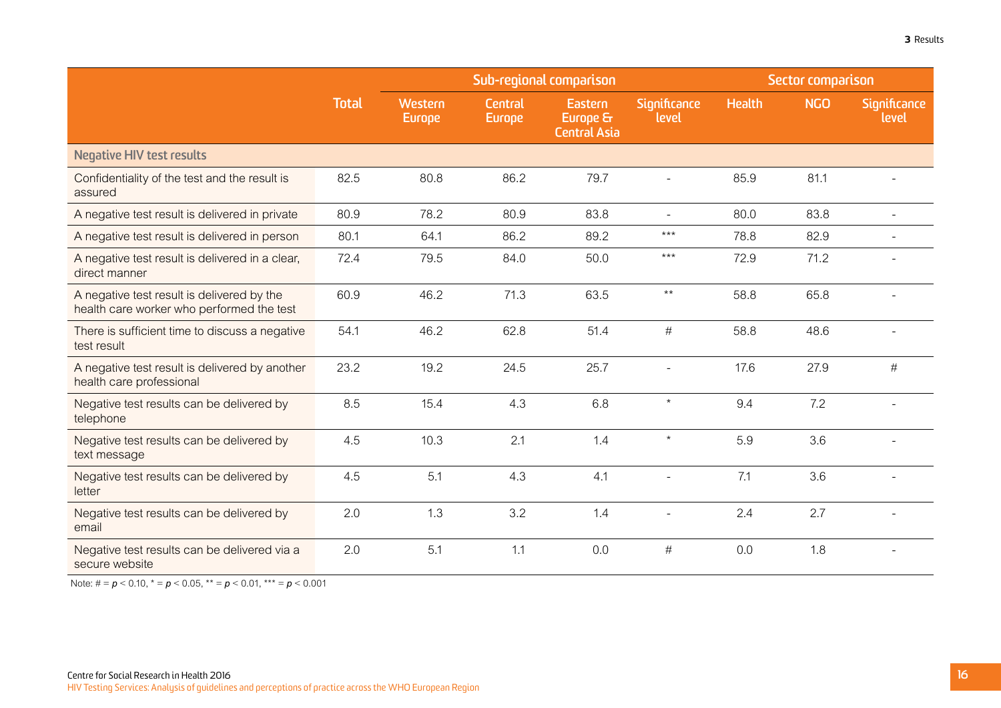|                                                                                         |              | Sub-regional comparison  |                                 |                                            |                          | Sector comparison |            |                          |
|-----------------------------------------------------------------------------------------|--------------|--------------------------|---------------------------------|--------------------------------------------|--------------------------|-------------------|------------|--------------------------|
|                                                                                         | <b>Total</b> | Western<br><b>Europe</b> | <b>Central</b><br><b>Europe</b> | Eastern<br>Europe &<br><b>Central Asia</b> | Significance<br>level    | <b>Health</b>     | <b>NGO</b> | Significance<br>level    |
| <b>Negative HIV test results</b>                                                        |              |                          |                                 |                                            |                          |                   |            |                          |
| Confidentiality of the test and the result is<br>assured                                | 82.5         | 80.8                     | 86.2                            | 79.7                                       | $\overline{\phantom{a}}$ | 85.9              | 81.1       |                          |
| A negative test result is delivered in private                                          | 80.9         | 78.2                     | 80.9                            | 83.8                                       |                          | 80.0              | 83.8       |                          |
| A negative test result is delivered in person                                           | 80.1         | 64.1                     | 86.2                            | 89.2                                       | $***$                    | 78.8              | 82.9       |                          |
| A negative test result is delivered in a clear,<br>direct manner                        | 72.4         | 79.5                     | 84.0                            | 50.0                                       | $***$                    | 72.9              | 71.2       |                          |
| A negative test result is delivered by the<br>health care worker who performed the test | 60.9         | 46.2                     | 71.3                            | 63.5                                       | $^{\star\star}$          | 58.8              | 65.8       |                          |
| There is sufficient time to discuss a negative<br>test result                           | 54.1         | 46.2                     | 62.8                            | 51.4                                       | #                        | 58.8              | 48.6       |                          |
| A negative test result is delivered by another<br>health care professional              | 23.2         | 19.2                     | 24.5                            | 25.7                                       |                          | 17.6              | 27.9       | $\#$                     |
| Negative test results can be delivered by<br>telephone                                  | 8.5          | 15.4                     | 4.3                             | 6.8                                        | $\star$                  | 9.4               | 7.2        |                          |
| Negative test results can be delivered by<br>text message                               | 4.5          | 10.3                     | 2.1                             | 1.4                                        | $\star$                  | 5.9               | 3.6        |                          |
| Negative test results can be delivered by<br>letter                                     | 4.5          | 5.1                      | 4.3                             | 4.1                                        |                          | 7.1               | 3.6        | $\overline{\phantom{a}}$ |
| Negative test results can be delivered by<br>email                                      | 2.0          | 1.3                      | 3.2                             | 1.4                                        |                          | 2.4               | 2.7        |                          |
| Negative test results can be delivered via a<br>secure website                          | 2.0          | 5.1                      | 1.1                             | 0.0                                        | $\#$                     | 0.0               | 1.8        |                          |

Note:  $\# = p < 0.10$ ,  $* = p < 0.05$ ,  $* = p < 0.01$ ,  $* = p < 0.001$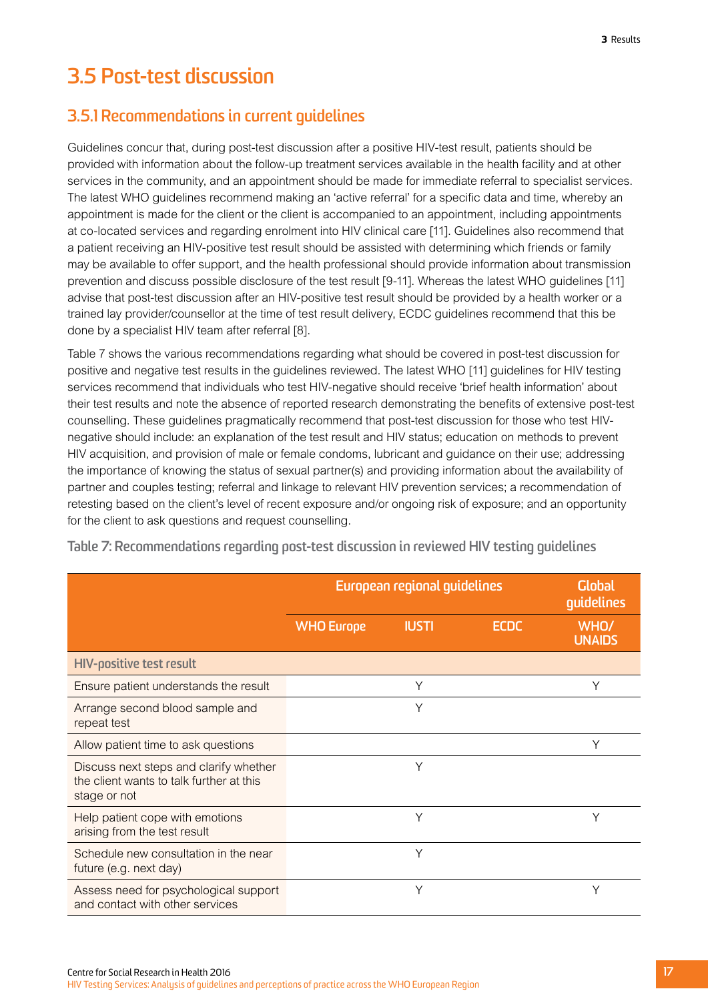## <span id="page-20-0"></span>**3.5 Post-test discussion**

### **3.5.1 Recommendations in current guidelines**

Guidelines concur that, during post-test discussion after a positive HIV-test result, patients should be provided with information about the follow-up treatment services available in the health facility and at other services in the community, and an appointment should be made for immediate referral to specialist services. The latest WHO guidelines recommend making an 'active referral' for a specific data and time, whereby an appointment is made for the client or the client is accompanied to an appointment, including appointments at co-located services and regarding enrolment into HIV clinical care [11]. Guidelines also recommend that a patient receiving an HIV-positive test result should be assisted with determining which friends or family may be available to offer support, and the health professional should provide information about transmission prevention and discuss possible disclosure of the test result [9-11]. Whereas the latest WHO guidelines [11] advise that post-test discussion after an HIV-positive test result should be provided by a health worker or a trained lay provider/counsellor at the time of test result delivery, ECDC guidelines recommend that this be done by a specialist HIV team after referral [8].

Table 7 shows the various recommendations regarding what should be covered in post-test discussion for positive and negative test results in the guidelines reviewed. The latest WHO [11] guidelines for HIV testing services recommend that individuals who test HIV-negative should receive 'brief health information' about their test results and note the absence of reported research demonstrating the benefits of extensive post-test counselling. These guidelines pragmatically recommend that post-test discussion for those who test HIVnegative should include: an explanation of the test result and HIV status; education on methods to prevent HIV acquisition, and provision of male or female condoms, lubricant and guidance on their use; addressing the importance of knowing the status of sexual partner(s) and providing information about the availability of partner and couples testing; referral and linkage to relevant HIV prevention services; a recommendation of retesting based on the client's level of recent exposure and/or ongoing risk of exposure; and an opportunity for the client to ask questions and request counselling.

|                                                                                                    |                   | European regional guidelines |             |                       |  |  |
|----------------------------------------------------------------------------------------------------|-------------------|------------------------------|-------------|-----------------------|--|--|
|                                                                                                    | <b>WHO Europe</b> | <b>IUSTI</b>                 | <b>ECDC</b> | WHO/<br><b>UNAIDS</b> |  |  |
| <b>HIV-positive test result</b>                                                                    |                   |                              |             |                       |  |  |
| Ensure patient understands the result                                                              |                   | Υ                            |             | Υ                     |  |  |
| Arrange second blood sample and<br>repeat test                                                     |                   | Y                            |             |                       |  |  |
| Allow patient time to ask questions                                                                |                   |                              |             | Y                     |  |  |
| Discuss next steps and clarify whether<br>the client wants to talk further at this<br>stage or not |                   | Y                            |             |                       |  |  |
| Help patient cope with emotions<br>arising from the test result                                    |                   | Y                            |             | Υ                     |  |  |
| Schedule new consultation in the near<br>future (e.g. next day)                                    |                   | Y                            |             |                       |  |  |
| Assess need for psychological support<br>and contact with other services                           |                   | Υ                            |             |                       |  |  |

**Table 7: Recommendations regarding post-test discussion in reviewed HIV testing guidelines**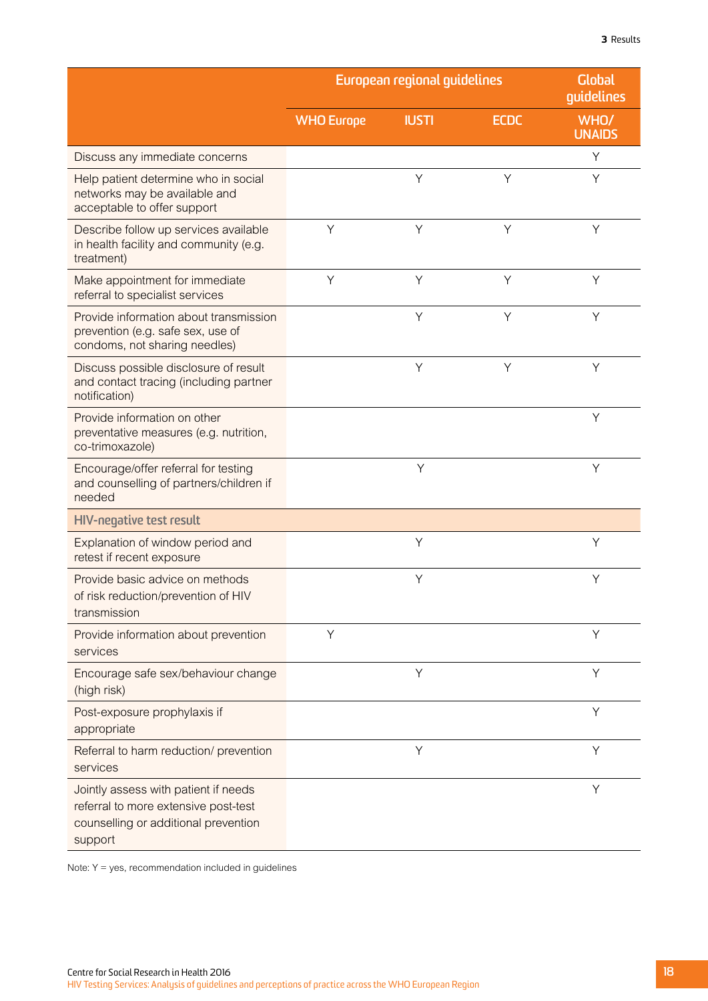|                                                                                                                                 |                   | European regional guidelines |             | <b>Global</b><br>guidelines |  |
|---------------------------------------------------------------------------------------------------------------------------------|-------------------|------------------------------|-------------|-----------------------------|--|
|                                                                                                                                 | <b>WHO Europe</b> | <b>IUSTI</b>                 | <b>ECDC</b> | WHO/<br><b>UNAIDS</b>       |  |
| Discuss any immediate concerns                                                                                                  |                   |                              |             | Y                           |  |
| Help patient determine who in social<br>networks may be available and<br>acceptable to offer support                            |                   | Y                            | Y           | Υ                           |  |
| Describe follow up services available<br>in health facility and community (e.g.<br>treatment)                                   | Y                 | Y                            | Y           | Υ                           |  |
| Make appointment for immediate<br>referral to specialist services                                                               | Y                 | Y                            | Y           | Y                           |  |
| Provide information about transmission<br>prevention (e.g. safe sex, use of<br>condoms, not sharing needles)                    |                   | Y                            | Y           | Y                           |  |
| Discuss possible disclosure of result<br>and contact tracing (including partner<br>notification)                                |                   | Y                            | Y           | Y                           |  |
| Provide information on other<br>preventative measures (e.g. nutrition,<br>co-trimoxazole)                                       |                   |                              |             | Y                           |  |
| Encourage/offer referral for testing<br>and counselling of partners/children if<br>needed                                       |                   | Y                            |             | Y                           |  |
| <b>HIV-negative test result</b>                                                                                                 |                   |                              |             |                             |  |
| Explanation of window period and<br>retest if recent exposure                                                                   |                   | Υ                            |             | Y                           |  |
| Provide basic advice on methods<br>of risk reduction/prevention of HIV<br>transmission                                          |                   | Υ                            |             | Y                           |  |
| Provide information about prevention<br>services                                                                                | Υ                 |                              |             | Υ                           |  |
| Encourage safe sex/behaviour change<br>(high risk)                                                                              |                   | Y                            |             | Y                           |  |
| Post-exposure prophylaxis if<br>appropriate                                                                                     |                   |                              |             | Y                           |  |
| Referral to harm reduction/ prevention<br>services                                                                              |                   | Υ                            |             | Y                           |  |
| Jointly assess with patient if needs<br>referral to more extensive post-test<br>counselling or additional prevention<br>support |                   |                              |             | Υ                           |  |

Note: Y = yes, recommendation included in guidelines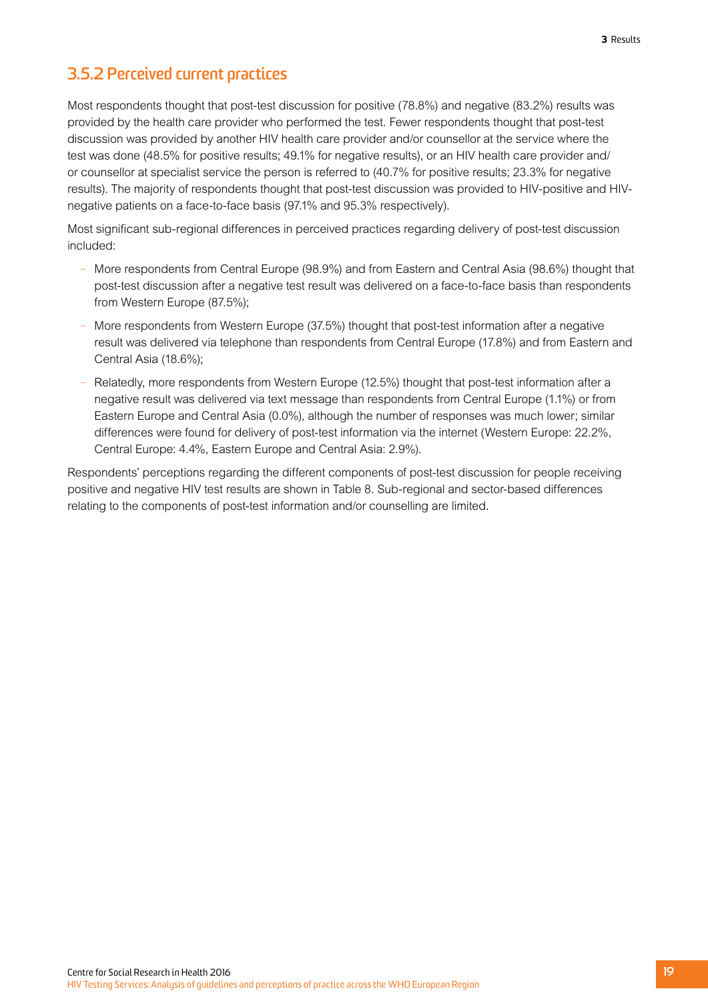## **3.5.2 Perceived current practices**

Most respondents thought that post-test discussion for positive (78.8%) and negative (83.2%) results was provided by the health care provider who performed the test. Fewer respondents thought that post-test discussion was provided by another HIV health care provider and/or counsellor at the service where the test was done (48.5% for positive results; 49.1% for negative results), or an HIV health care provider and/ or counsellor at specialist service the person is referred to (40.7% for positive results; 23.3% for negative results). The majority of respondents thought that post-test discussion was provided to HIV-positive and HIVnegative patients on a face-to-face basis (97.1% and 95.3% respectively).

Most significant sub-regional differences in perceived practices regarding delivery of post-test discussion included:

- More respondents from Central Europe (98.9%) and from Eastern and Central Asia (98.6%) thought that post-test discussion after a negative test result was delivered on a face-to-face basis than respondents from Western Europe (87.5%);
- More respondents from Western Europe (37.5%) thought that post-test information after a negative result was delivered via telephone than respondents from Central Europe (17.8%) and from Eastern and Central Asia (18.6%);
- Relatedly, more respondents from Western Europe (12.5%) thought that post-test information after a negative result was delivered via text message than respondents from Central Europe (1.1%) or from Eastern Europe and Central Asia (0.0%), although the number of responses was much lower; similar differences were found for delivery of post-test information via the internet (Western Europe: 22.2%, Central Europe: 4.4%, Eastern Europe and Central Asia: 2.9%).

Respondents' perceptions regarding the different components of post-test discussion for people receiving positive and negative HIV test results are shown in Table 8. Sub-regional and sector-based differences relating to the components of post-test information and/or counselling are limited.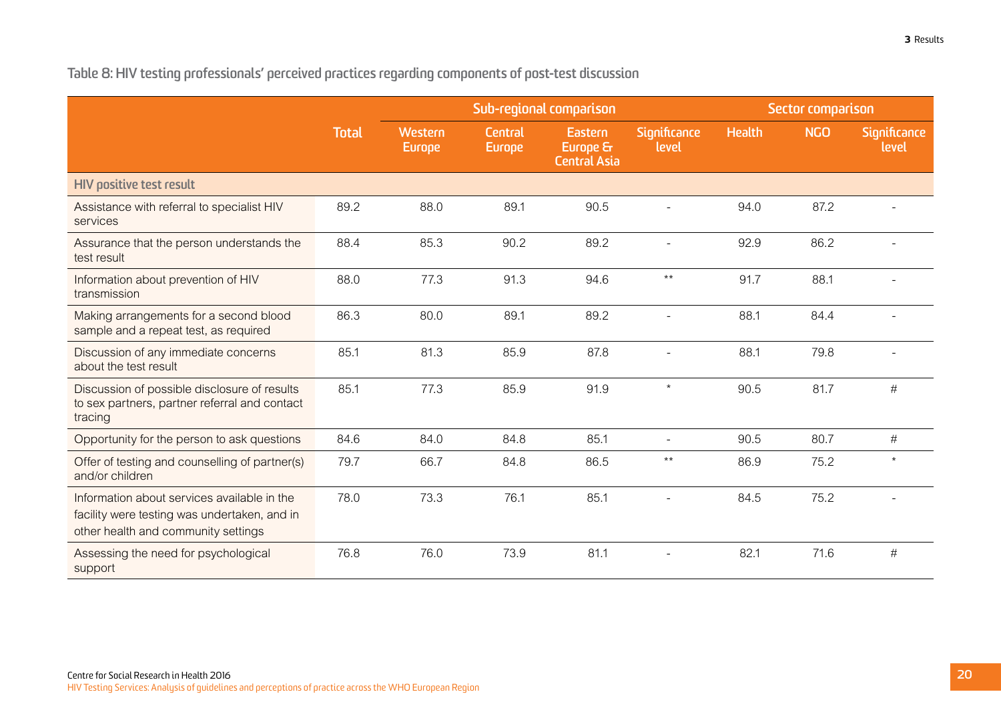<span id="page-23-0"></span>**Table 8: HIV testing professionals' perceived practices regarding components of post-test discussion**

|                                                                                                                                    |              | Sub-regional comparison  |                                 |                                            | Sector comparison        |               |            |                       |
|------------------------------------------------------------------------------------------------------------------------------------|--------------|--------------------------|---------------------------------|--------------------------------------------|--------------------------|---------------|------------|-----------------------|
|                                                                                                                                    | <b>Total</b> | Western<br><b>Europe</b> | <b>Central</b><br><b>Europe</b> | Eastern<br>Europe &<br><b>Central Asia</b> | Significance<br>level    | <b>Health</b> | <b>NGO</b> | Significance<br>level |
| <b>HIV positive test result</b>                                                                                                    |              |                          |                                 |                                            |                          |               |            |                       |
| Assistance with referral to specialist HIV<br>services                                                                             | 89.2         | 88.0                     | 89.1                            | 90.5                                       |                          | 94.0          | 87.2       |                       |
| Assurance that the person understands the<br>test result                                                                           | 88.4         | 85.3                     | 90.2                            | 89.2                                       |                          | 92.9          | 86.2       |                       |
| Information about prevention of HIV<br>transmission                                                                                | 88.0         | 77.3                     | 91.3                            | 94.6                                       | $***$                    | 91.7          | 88.1       |                       |
| Making arrangements for a second blood<br>sample and a repeat test, as required                                                    | 86.3         | 80.0                     | 89.1                            | 89.2                                       |                          | 88.1          | 84.4       |                       |
| Discussion of any immediate concerns<br>about the test result                                                                      | 85.1         | 81.3                     | 85.9                            | 87.8                                       |                          | 88.1          | 79.8       |                       |
| Discussion of possible disclosure of results<br>to sex partners, partner referral and contact<br>tracing                           | 85.1         | 77.3                     | 85.9                            | 91.9                                       | $\star$                  | 90.5          | 81.7       | #                     |
| Opportunity for the person to ask questions                                                                                        | 84.6         | 84.0                     | 84.8                            | 85.1                                       | $\overline{\phantom{a}}$ | 90.5          | 80.7       | $\#$                  |
| Offer of testing and counselling of partner(s)<br>and/or children                                                                  | 79.7         | 66.7                     | 84.8                            | 86.5                                       | $^{\star\star}$          | 86.9          | 75.2       | $\star$               |
| Information about services available in the<br>facility were testing was undertaken, and in<br>other health and community settings | 78.0         | 73.3                     | 76.1                            | 85.1                                       |                          | 84.5          | 75.2       |                       |
| Assessing the need for psychological<br>support                                                                                    | 76.8         | 76.0                     | 73.9                            | 81.1                                       |                          | 82.1          | 71.6       | #                     |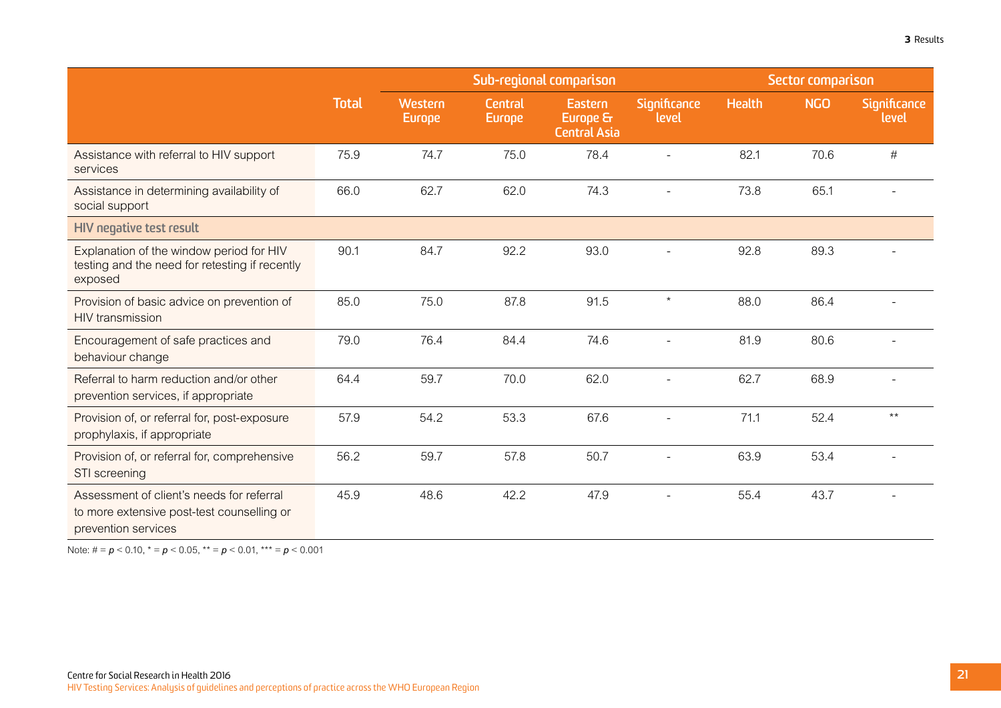|                                                                                                                |              | Sub-regional comparison  |                                 |                                            | Sector comparison     |               |            |                              |
|----------------------------------------------------------------------------------------------------------------|--------------|--------------------------|---------------------------------|--------------------------------------------|-----------------------|---------------|------------|------------------------------|
|                                                                                                                | <b>Total</b> | Western<br><b>Europe</b> | <b>Central</b><br><b>Europe</b> | Eastern<br>Europe &<br><b>Central Asia</b> | Significance<br>level | <b>Health</b> | <b>NGO</b> | <b>Significance</b><br>level |
| Assistance with referral to HIV support<br>services                                                            | 75.9         | 74.7                     | 75.0                            | 78.4                                       |                       | 82.1          | 70.6       | $\#$                         |
| Assistance in determining availability of<br>social support                                                    | 66.0         | 62.7                     | 62.0                            | 74.3                                       |                       | 73.8          | 65.1       |                              |
| HIV negative test result                                                                                       |              |                          |                                 |                                            |                       |               |            |                              |
| Explanation of the window period for HIV<br>testing and the need for retesting if recently<br>exposed          | 90.1         | 84.7                     | 92.2                            | 93.0                                       |                       | 92.8          | 89.3       |                              |
| Provision of basic advice on prevention of<br>HIV transmission                                                 | 85.0         | 75.0                     | 87.8                            | 91.5                                       | $\star$               | 88.0          | 86.4       |                              |
| Encouragement of safe practices and<br>behaviour change                                                        | 79.0         | 76.4                     | 84.4                            | 74.6                                       |                       | 81.9          | 80.6       |                              |
| Referral to harm reduction and/or other<br>prevention services, if appropriate                                 | 64.4         | 59.7                     | 70.0                            | 62.0                                       |                       | 62.7          | 68.9       |                              |
| Provision of, or referral for, post-exposure<br>prophylaxis, if appropriate                                    | 57.9         | 54.2                     | 53.3                            | 67.6                                       |                       | 71.1          | 52.4       | $***$                        |
| Provision of, or referral for, comprehensive<br>STI screening                                                  | 56.2         | 59.7                     | 57.8                            | 50.7                                       |                       | 63.9          | 53.4       |                              |
| Assessment of client's needs for referral<br>to more extensive post-test counselling or<br>prevention services | 45.9         | 48.6                     | 42.2                            | 47.9                                       |                       | 55.4          | 43.7       |                              |

Note: # = *p* < 0.10, \* = *p* < 0.05, \*\* = *p* < 0.01, \*\*\* = *p* < 0.001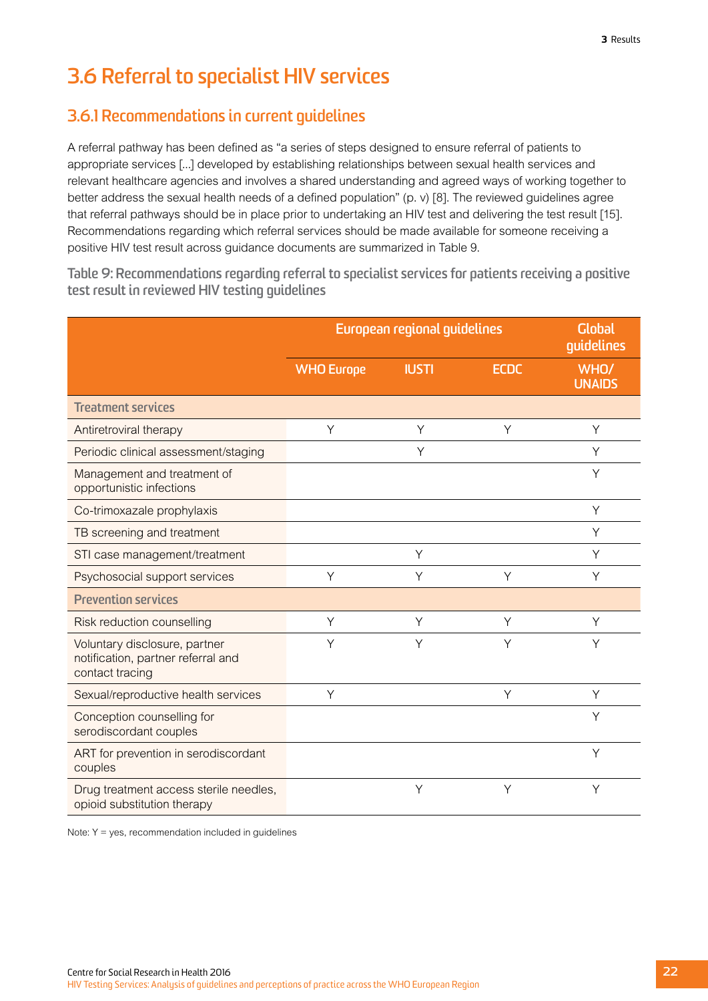# <span id="page-25-0"></span>**3.6 Referral to specialist HIV services**

### **3.6.1 Recommendations in current guidelines**

A referral pathway has been defined as "a series of steps designed to ensure referral of patients to appropriate services [...] developed by establishing relationships between sexual health services and relevant healthcare agencies and involves a shared understanding and agreed ways of working together to better address the sexual health needs of a defined population" (p. v) [8]. The reviewed guidelines agree that referral pathways should be in place prior to undertaking an HIV test and delivering the test result [15]. Recommendations regarding which referral services should be made available for someone receiving a positive HIV test result across guidance documents are summarized in Table 9.

**Table 9: Recommendations regarding referral to specialist services for patients receiving a positive test result in reviewed HIV testing guidelines**

|                                                                                        | European regional guidelines | <b>Global</b><br>guidelines |             |                       |
|----------------------------------------------------------------------------------------|------------------------------|-----------------------------|-------------|-----------------------|
|                                                                                        | <b>WHO Europe</b>            | <b>IUSTI</b>                | <b>ECDC</b> | WHO/<br><b>UNAIDS</b> |
| <b>Treatment services</b>                                                              |                              |                             |             |                       |
| Antiretroviral therapy                                                                 | Y                            | Y                           | Y           | Y                     |
| Periodic clinical assessment/staging                                                   |                              | Υ                           |             | Y                     |
| Management and treatment of<br>opportunistic infections                                |                              |                             |             | Y                     |
| Co-trimoxazale prophylaxis                                                             |                              |                             |             | Y                     |
| TB screening and treatment                                                             |                              |                             |             | Y                     |
| STI case management/treatment                                                          |                              | Υ                           |             | Y                     |
| Psychosocial support services                                                          | Y                            | Y                           | Y           | Y                     |
| <b>Prevention services</b>                                                             |                              |                             |             |                       |
| Risk reduction counselling                                                             | Y                            | Y                           | Y           | Y                     |
| Voluntary disclosure, partner<br>notification, partner referral and<br>contact tracing | Υ                            | Y                           | Y           | Υ                     |
| Sexual/reproductive health services                                                    | Y                            |                             | Y           | Y                     |
| Conception counselling for<br>serodiscordant couples                                   |                              |                             |             | Y                     |
| ART for prevention in serodiscordant<br>couples                                        |                              |                             |             | Y                     |
| Drug treatment access sterile needles,<br>opioid substitution therapy                  |                              | Y                           | Y           | Y                     |

Note: Y = yes, recommendation included in guidelines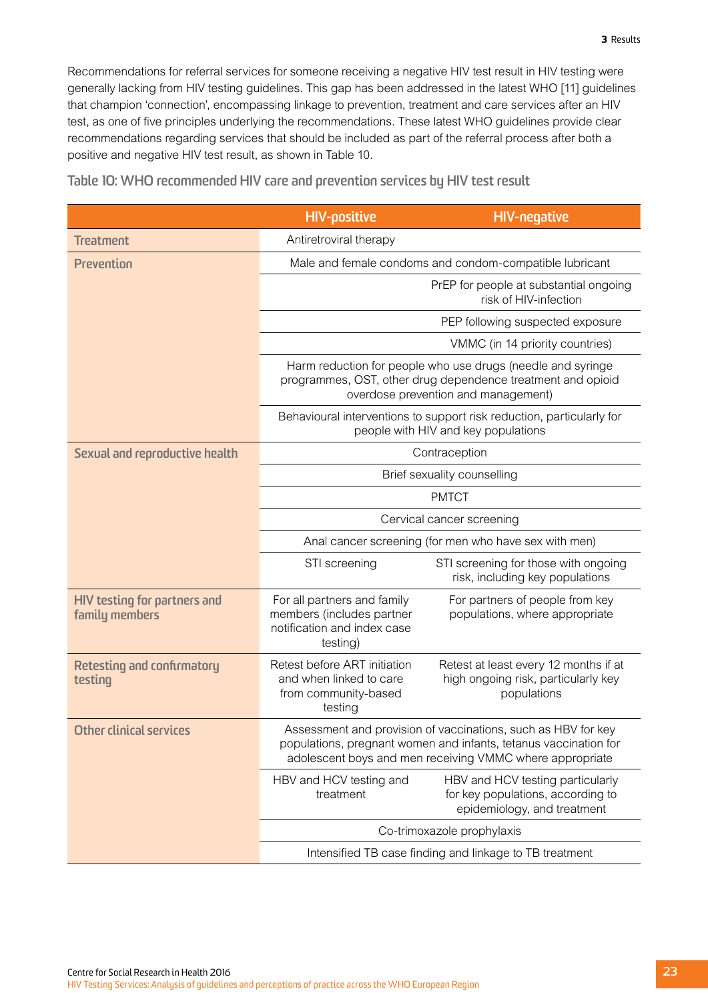<span id="page-26-0"></span>Recommendations for referral services for someone receiving a negative HIV test result in HIV testing were generally lacking from HIV testing guidelines. This gap has been addressed in the latest WHO [11] guidelines that champion 'connection', encompassing linkage to prevention, treatment and care services after an HIV test, as one of five principles underlying the recommendations. These latest WHO guidelines provide clear recommendations regarding services that should be included as part of the referral process after both a positive and negative HIV test result, as shown in Table 10.

|                                                       | <b>HIV-positive</b>                                                                                                                                                                           | <b>HIV-negative</b>                                                                                          |  |  |  |  |
|-------------------------------------------------------|-----------------------------------------------------------------------------------------------------------------------------------------------------------------------------------------------|--------------------------------------------------------------------------------------------------------------|--|--|--|--|
| <b>Treatment</b>                                      | Antiretroviral therapy                                                                                                                                                                        |                                                                                                              |  |  |  |  |
| <b>Prevention</b>                                     | Male and female condoms and condom-compatible lubricant                                                                                                                                       |                                                                                                              |  |  |  |  |
|                                                       | PrEP for people at substantial ongoing<br>risk of HIV-infection                                                                                                                               |                                                                                                              |  |  |  |  |
|                                                       | PEP following suspected exposure                                                                                                                                                              |                                                                                                              |  |  |  |  |
|                                                       |                                                                                                                                                                                               | VMMC (in 14 priority countries)                                                                              |  |  |  |  |
|                                                       | Harm reduction for people who use drugs (needle and syringe<br>programmes, OST, other drug dependence treatment and opioid<br>overdose prevention and management)                             |                                                                                                              |  |  |  |  |
|                                                       |                                                                                                                                                                                               | Behavioural interventions to support risk reduction, particularly for<br>people with HIV and key populations |  |  |  |  |
| Sexual and reproductive health                        |                                                                                                                                                                                               | Contraception                                                                                                |  |  |  |  |
|                                                       |                                                                                                                                                                                               | Brief sexuality counselling                                                                                  |  |  |  |  |
|                                                       | <b>PMTCT</b>                                                                                                                                                                                  |                                                                                                              |  |  |  |  |
|                                                       | Cervical cancer screening                                                                                                                                                                     |                                                                                                              |  |  |  |  |
|                                                       | Anal cancer screening (for men who have sex with men)                                                                                                                                         |                                                                                                              |  |  |  |  |
|                                                       | STI screening                                                                                                                                                                                 | STI screening for those with ongoing<br>risk, including key populations                                      |  |  |  |  |
| <b>HIV testing for partners and</b><br>family members | For all partners and family<br>members (includes partner<br>notification and index case<br>testing)                                                                                           | For partners of people from key<br>populations, where appropriate                                            |  |  |  |  |
| <b>Retesting and confirmatory</b><br>testing          | Retest before ART initiation<br>and when linked to care<br>from community-based<br>testing                                                                                                    | Retest at least every 12 months if at<br>high ongoing risk, particularly key<br>populations                  |  |  |  |  |
| <b>Other clinical services</b>                        | Assessment and provision of vaccinations, such as HBV for key<br>populations, pregnant women and infants, tetanus vaccination for<br>adolescent boys and men receiving VMMC where appropriate |                                                                                                              |  |  |  |  |
|                                                       | HBV and HCV testing and<br>treatment                                                                                                                                                          | HBV and HCV testing particularly<br>for key populations, according to<br>epidemiology, and treatment         |  |  |  |  |
|                                                       | Co-trimoxazole prophylaxis                                                                                                                                                                    |                                                                                                              |  |  |  |  |
|                                                       | Intensified TB case finding and linkage to TB treatment                                                                                                                                       |                                                                                                              |  |  |  |  |

**Table 10: WHO recommended HIV care and prevention services by HIV test result**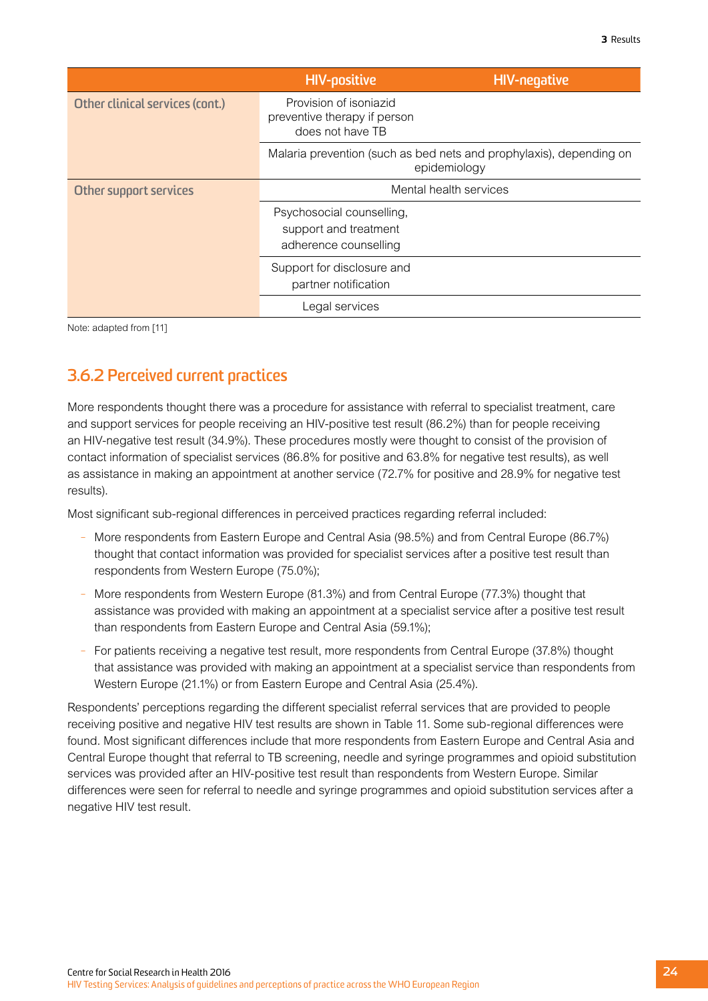|                                 | <b>HIV-positive</b>                                                                 | <b>HIV-negative</b>    |  |  |
|---------------------------------|-------------------------------------------------------------------------------------|------------------------|--|--|
| Other clinical services (cont.) | Provision of isoniazid<br>preventive therapy if person<br>does not have TB          |                        |  |  |
|                                 | Malaria prevention (such as bed nets and prophylaxis), depending on<br>epidemiology |                        |  |  |
| Other support services          |                                                                                     | Mental health services |  |  |
|                                 | Psychosocial counselling,<br>support and treatment<br>adherence counselling         |                        |  |  |
|                                 | Support for disclosure and<br>partner notification                                  |                        |  |  |
|                                 | Legal services                                                                      |                        |  |  |

Note: adapted from [11]

### **3.6.2 Perceived current practices**

More respondents thought there was a procedure for assistance with referral to specialist treatment, care and support services for people receiving an HIV-positive test result (86.2%) than for people receiving an HIV-negative test result (34.9%). These procedures mostly were thought to consist of the provision of contact information of specialist services (86.8% for positive and 63.8% for negative test results), as well as assistance in making an appointment at another service (72.7% for positive and 28.9% for negative test results).

Most significant sub-regional differences in perceived practices regarding referral included:

- More respondents from Eastern Europe and Central Asia (98.5%) and from Central Europe (86.7%) thought that contact information was provided for specialist services after a positive test result than respondents from Western Europe (75.0%);
- More respondents from Western Europe (81.3%) and from Central Europe (77.3%) thought that assistance was provided with making an appointment at a specialist service after a positive test result than respondents from Eastern Europe and Central Asia (59.1%);
- For patients receiving a negative test result, more respondents from Central Europe (37.8%) thought that assistance was provided with making an appointment at a specialist service than respondents from Western Europe (21.1%) or from Eastern Europe and Central Asia (25.4%).

Respondents' perceptions regarding the different specialist referral services that are provided to people receiving positive and negative HIV test results are shown in Table 11. Some sub-regional differences were found. Most significant differences include that more respondents from Eastern Europe and Central Asia and Central Europe thought that referral to TB screening, needle and syringe programmes and opioid substitution services was provided after an HIV-positive test result than respondents from Western Europe. Similar differences were seen for referral to needle and syringe programmes and opioid substitution services after a negative HIV test result.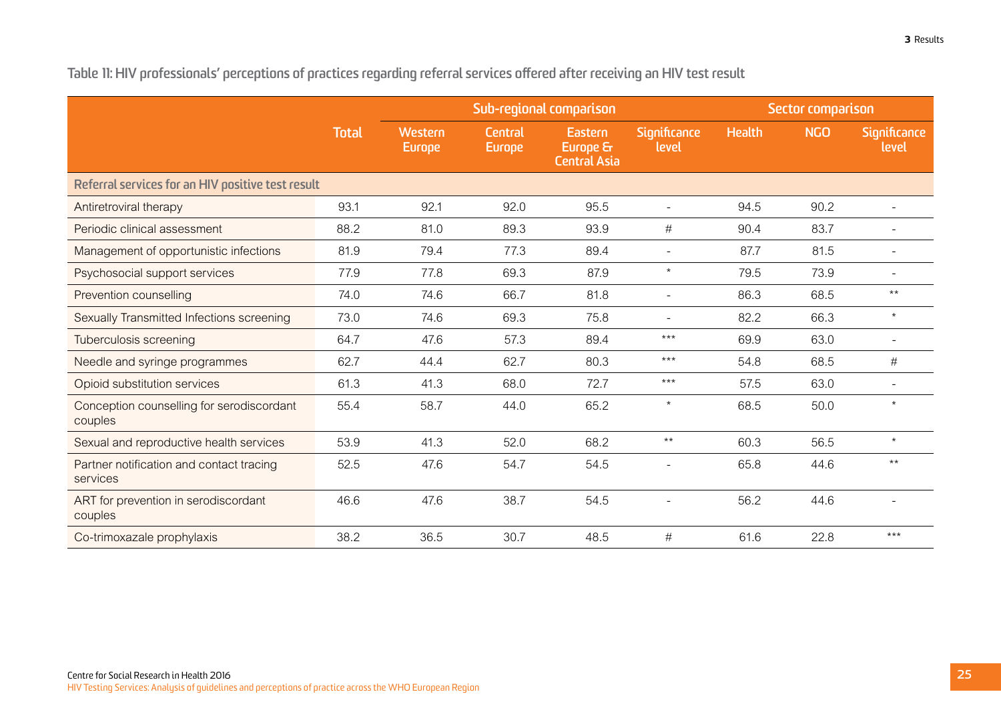|                                                      |              |                          |                                 | Sub-regional comparison                    |                          | Sector comparison |            |                          |
|------------------------------------------------------|--------------|--------------------------|---------------------------------|--------------------------------------------|--------------------------|-------------------|------------|--------------------------|
|                                                      | <b>Total</b> | Western<br><b>Europe</b> | <b>Central</b><br><b>Europe</b> | Eastern<br>Europe &<br><b>Central Asia</b> | Significance<br>level    | <b>Health</b>     | <b>NGO</b> | Significance<br>level    |
| Referral services for an HIV positive test result    |              |                          |                                 |                                            |                          |                   |            |                          |
| Antiretroviral therapy                               | 93.1         | 92.1                     | 92.0                            | 95.5                                       | $\overline{\phantom{a}}$ | 94.5              | 90.2       | $\overline{\phantom{a}}$ |
| Periodic clinical assessment                         | 88.2         | 81.0                     | 89.3                            | 93.9                                       | $\#$                     | 90.4              | 83.7       | $\overline{\phantom{a}}$ |
| Management of opportunistic infections               | 81.9         | 79.4                     | 77.3                            | 89.4                                       |                          | 87.7              | 81.5       |                          |
| Psychosocial support services                        | 77.9         | 77.8                     | 69.3                            | 87.9                                       | $^\star$                 | 79.5              | 73.9       | $\overline{\phantom{a}}$ |
| Prevention counselling                               | 74.0         | 74.6                     | 66.7                            | 81.8                                       | $\overline{\phantom{a}}$ | 86.3              | 68.5       | $***$                    |
| Sexually Transmitted Infections screening            | 73.0         | 74.6                     | 69.3                            | 75.8                                       |                          | 82.2              | 66.3       | $\star$                  |
| Tuberculosis screening                               | 64.7         | 47.6                     | 57.3                            | 89.4                                       | $***$                    | 69.9              | 63.0       | $\blacksquare$           |
| Needle and syringe programmes                        | 62.7         | 44.4                     | 62.7                            | 80.3                                       | $***$                    | 54.8              | 68.5       | $\#$                     |
| Opioid substitution services                         | 61.3         | 41.3                     | 68.0                            | 72.7                                       | $***$                    | 57.5              | 63.0       | $\overline{a}$           |
| Conception counselling for serodiscordant<br>couples | 55.4         | 58.7                     | 44.0                            | 65.2                                       | $^\star$                 | 68.5              | 50.0       | $\star$                  |
| Sexual and reproductive health services              | 53.9         | 41.3                     | 52.0                            | 68.2                                       | $***$                    | 60.3              | 56.5       | $\star$                  |
| Partner notification and contact tracing<br>services | 52.5         | 47.6                     | 54.7                            | 54.5                                       |                          | 65.8              | 44.6       | $***$                    |
| ART for prevention in serodiscordant<br>couples      | 46.6         | 47.6                     | 38.7                            | 54.5                                       |                          | 56.2              | 44.6       |                          |
| Co-trimoxazale prophylaxis                           | 38.2         | 36.5                     | 30.7                            | 48.5                                       | #                        | 61.6              | 22.8       | $***$                    |

<span id="page-28-0"></span>**Table 11: HIV professionals' perceptions of practices regarding referral services offered after receiving an HIV test result**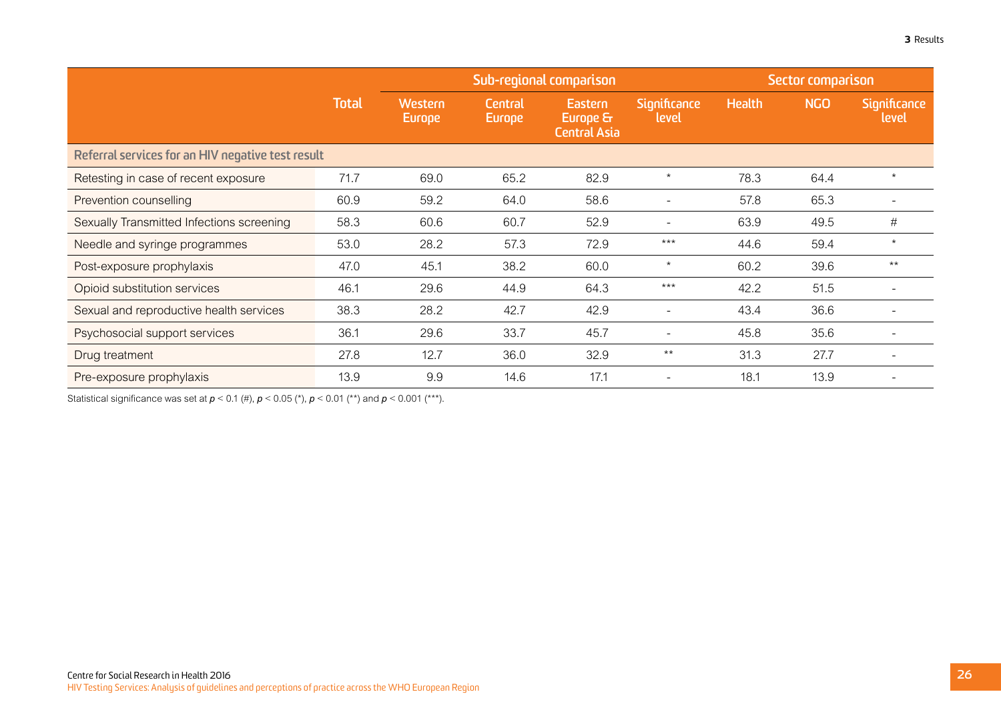|                                                   |              |                          | Sub-regional comparison  |                                            |                              | Sector comparison |            |                              |
|---------------------------------------------------|--------------|--------------------------|--------------------------|--------------------------------------------|------------------------------|-------------------|------------|------------------------------|
|                                                   | <b>Total</b> | Western<br><b>Europe</b> | Central<br><b>Europe</b> | Eastern<br>Europe &<br><b>Central Asia</b> | <b>Significance</b><br>level | <b>Health</b>     | <b>NGO</b> | <b>Significance</b><br>level |
| Referral services for an HIV negative test result |              |                          |                          |                                            |                              |                   |            |                              |
| Retesting in case of recent exposure              | 71.7         | 69.0                     | 65.2                     | 82.9                                       | $\star$                      | 78.3              | 64.4       | $\star$                      |
| Prevention counselling                            | 60.9         | 59.2                     | 64.0                     | 58.6                                       |                              | 57.8              | 65.3       |                              |
| Sexually Transmitted Infections screening         | 58.3         | 60.6                     | 60.7                     | 52.9                                       |                              | 63.9              | 49.5       | #                            |
| Needle and syringe programmes                     | 53.0         | 28.2                     | 57.3                     | 72.9                                       | $***$                        | 44.6              | 59.4       | $\star$                      |
| Post-exposure prophylaxis                         | 47.0         | 45.1                     | 38.2                     | 60.0                                       | $^\star$                     | 60.2              | 39.6       | $***$                        |
| Opioid substitution services                      | 46.1         | 29.6                     | 44.9                     | 64.3                                       | $***$                        | 42.2              | 51.5       |                              |
| Sexual and reproductive health services           | 38.3         | 28.2                     | 42.7                     | 42.9                                       |                              | 43.4              | 36.6       |                              |
| Psychosocial support services                     | 36.1         | 29.6                     | 33.7                     | 45.7                                       |                              | 45.8              | 35.6       |                              |
| Drug treatment                                    | 27.8         | 12.7                     | 36.0                     | 32.9                                       | $***$                        | 31.3              | 27.7       |                              |
| Pre-exposure prophylaxis                          | 13.9         | 9.9                      | 14.6                     | 17.1                                       |                              | 18.1              | 13.9       |                              |

Statistical significance was set at  $p < 0.1$  (#),  $p < 0.05$  (\*),  $p < 0.01$  (\*\*) and  $p < 0.001$  (\*\*\*).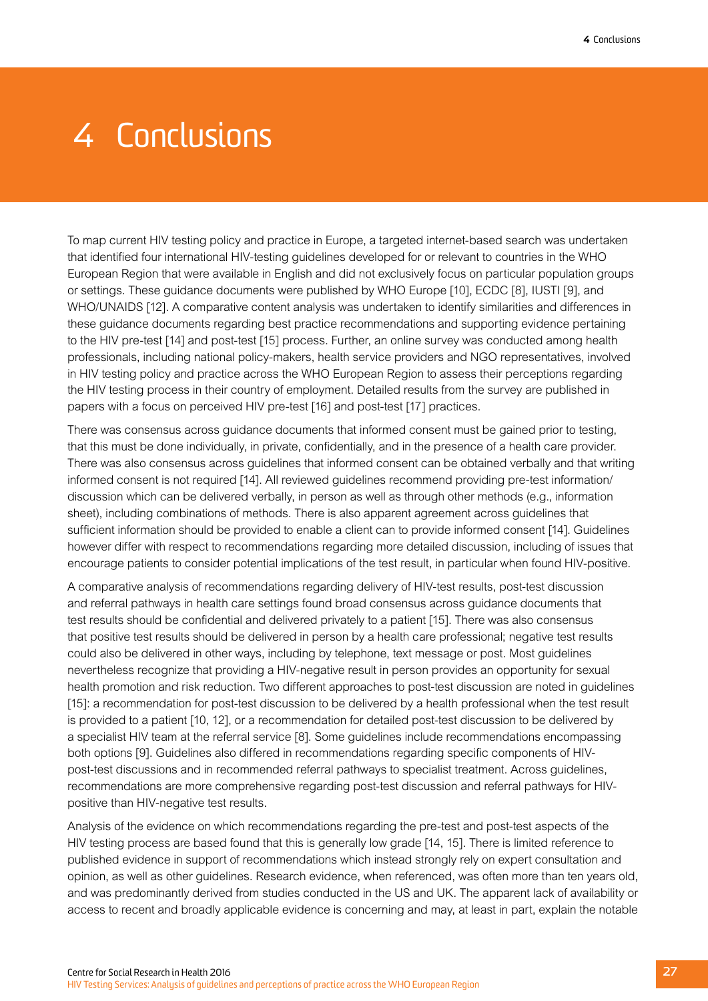# <span id="page-30-0"></span>4 Conclusions

To map current HIV testing policy and practice in Europe, a targeted internet-based search was undertaken that identified four international HIV-testing guidelines developed for or relevant to countries in the WHO European Region that were available in English and did not exclusively focus on particular population groups or settings. These guidance documents were published by WHO Europe [10], ECDC [8], IUSTI [9], and WHO/UNAIDS [12]. A comparative content analysis was undertaken to identify similarities and differences in these guidance documents regarding best practice recommendations and supporting evidence pertaining to the HIV pre-test [14] and post-test [15] process. Further, an online survey was conducted among health professionals, including national policy-makers, health service providers and NGO representatives, involved in HIV testing policy and practice across the WHO European Region to assess their perceptions regarding the HIV testing process in their country of employment. Detailed results from the survey are published in papers with a focus on perceived HIV pre-test [16] and post-test [17] practices.

There was consensus across guidance documents that informed consent must be gained prior to testing, that this must be done individually, in private, confidentially, and in the presence of a health care provider. There was also consensus across guidelines that informed consent can be obtained verbally and that writing informed consent is not required [14]. All reviewed guidelines recommend providing pre-test information/ discussion which can be delivered verbally, in person as well as through other methods (e.g., information sheet), including combinations of methods. There is also apparent agreement across guidelines that sufficient information should be provided to enable a client can to provide informed consent [14]. Guidelines however differ with respect to recommendations regarding more detailed discussion, including of issues that encourage patients to consider potential implications of the test result, in particular when found HIV-positive.

A comparative analysis of recommendations regarding delivery of HIV-test results, post-test discussion and referral pathways in health care settings found broad consensus across guidance documents that test results should be confidential and delivered privately to a patient [15]. There was also consensus that positive test results should be delivered in person by a health care professional; negative test results could also be delivered in other ways, including by telephone, text message or post. Most guidelines nevertheless recognize that providing a HIV-negative result in person provides an opportunity for sexual health promotion and risk reduction. Two different approaches to post-test discussion are noted in guidelines [15]: a recommendation for post-test discussion to be delivered by a health professional when the test result is provided to a patient [10, 12], or a recommendation for detailed post-test discussion to be delivered by a specialist HIV team at the referral service [8]. Some guidelines include recommendations encompassing both options [9]. Guidelines also differed in recommendations regarding specific components of HIVpost-test discussions and in recommended referral pathways to specialist treatment. Across guidelines, recommendations are more comprehensive regarding post-test discussion and referral pathways for HIVpositive than HIV-negative test results.

Analysis of the evidence on which recommendations regarding the pre-test and post-test aspects of the HIV testing process are based found that this is generally low grade [14, 15]. There is limited reference to published evidence in support of recommendations which instead strongly rely on expert consultation and opinion, as well as other guidelines. Research evidence, when referenced, was often more than ten years old, and was predominantly derived from studies conducted in the US and UK. The apparent lack of availability or access to recent and broadly applicable evidence is concerning and may, at least in part, explain the notable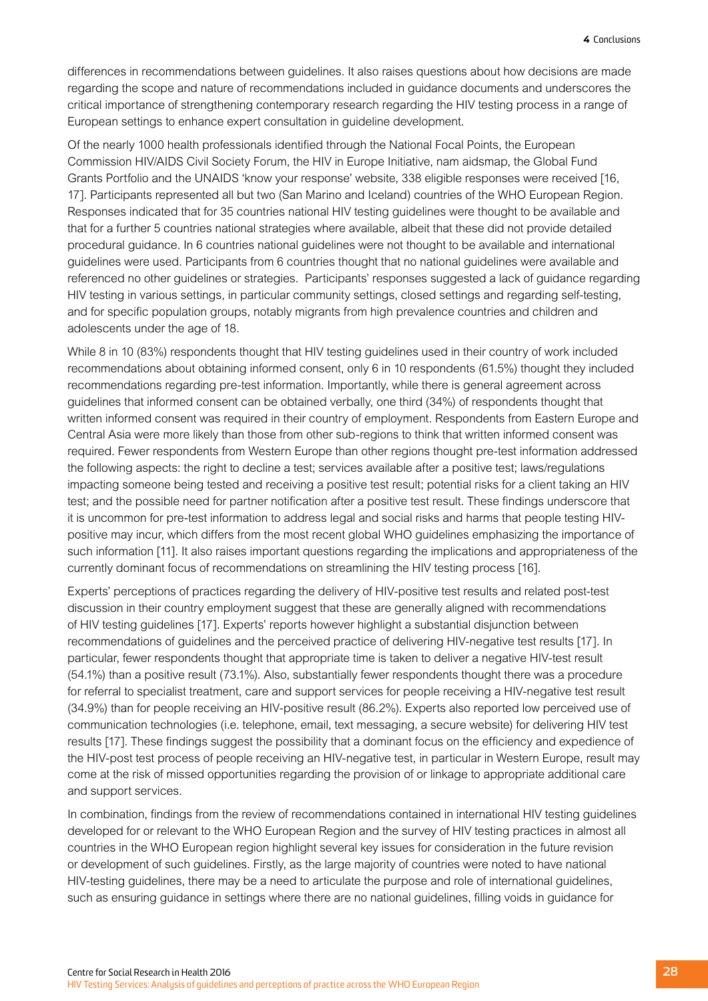differences in recommendations between guidelines. It also raises questions about how decisions are made regarding the scope and nature of recommendations included in guidance documents and underscores the critical importance of strengthening contemporary research regarding the HIV testing process in a range of European settings to enhance expert consultation in guideline development.

Of the nearly 1000 health professionals identified through the National Focal Points, the European Commission HIV/AIDS Civil Society Forum, the HIV in Europe Initiative, nam aidsmap, the Global Fund Grants Portfolio and the UNAIDS 'know your response' website, 338 eligible responses were received [16, 17]. Participants represented all but two (San Marino and Iceland) countries of the WHO European Region. Responses indicated that for 35 countries national HIV testing guidelines were thought to be available and that for a further 5 countries national strategies where available, albeit that these did not provide detailed procedural guidance. In 6 countries national guidelines were not thought to be available and international guidelines were used. Participants from 6 countries thought that no national guidelines were available and referenced no other guidelines or strategies. Participants' responses suggested a lack of guidance regarding HIV testing in various settings, in particular community settings, closed settings and regarding self-testing, and for specific population groups, notably migrants from high prevalence countries and children and adolescents under the age of 18.

While 8 in 10 (83%) respondents thought that HIV testing guidelines used in their country of work included recommendations about obtaining informed consent, only 6 in 10 respondents (61.5%) thought they included recommendations regarding pre-test information. Importantly, while there is general agreement across guidelines that informed consent can be obtained verbally, one third (34%) of respondents thought that written informed consent was required in their country of employment. Respondents from Eastern Europe and Central Asia were more likely than those from other sub-regions to think that written informed consent was required. Fewer respondents from Western Europe than other regions thought pre-test information addressed the following aspects: the right to decline a test; services available after a positive test; laws/regulations impacting someone being tested and receiving a positive test result; potential risks for a client taking an HIV test; and the possible need for partner notification after a positive test result. These findings underscore that it is uncommon for pre-test information to address legal and social risks and harms that people testing HIVpositive may incur, which differs from the most recent global WHO guidelines emphasizing the importance of such information [11]. It also raises important questions regarding the implications and appropriateness of the currently dominant focus of recommendations on streamlining the HIV testing process [16].

Experts' perceptions of practices regarding the delivery of HIV-positive test results and related post-test discussion in their country employment suggest that these are generally aligned with recommendations of HIV testing guidelines [17]. Experts' reports however highlight a substantial disjunction between recommendations of guidelines and the perceived practice of delivering HIV-negative test results [17]. In particular, fewer respondents thought that appropriate time is taken to deliver a negative HIV-test result (54.1%) than a positive result (73.1%). Also, substantially fewer respondents thought there was a procedure for referral to specialist treatment, care and support services for people receiving a HIV-negative test result (34.9%) than for people receiving an HIV-positive result (86.2%). Experts also reported low perceived use of communication technologies (i.e. telephone, email, text messaging, a secure website) for delivering HIV test results [17]. These findings suggest the possibility that a dominant focus on the efficiency and expedience of the HIV-post test process of people receiving an HIV-negative test, in particular in Western Europe, result may come at the risk of missed opportunities regarding the provision of or linkage to appropriate additional care and support services.

In combination, findings from the review of recommendations contained in international HIV testing guidelines developed for or relevant to the WHO European Region and the survey of HIV testing practices in almost all countries in the WHO European region highlight several key issues for consideration in the future revision or development of such guidelines. Firstly, as the large majority of countries were noted to have national HIV-testing guidelines, there may be a need to articulate the purpose and role of international guidelines, such as ensuring guidance in settings where there are no national guidelines, filling voids in guidance for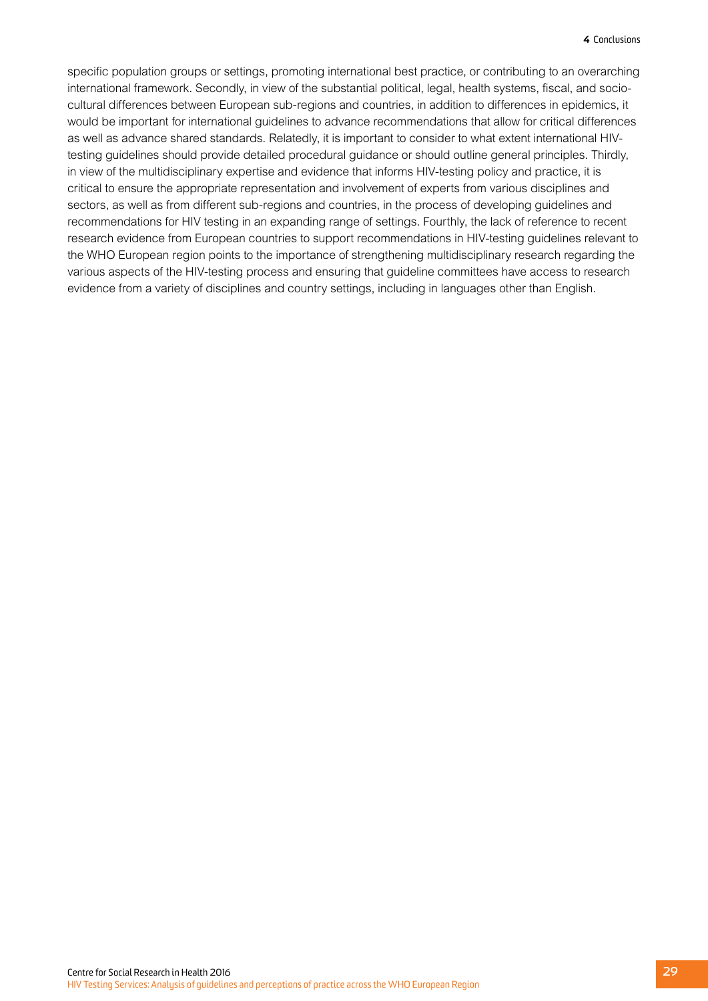specific population groups or settings, promoting international best practice, or contributing to an overarching international framework. Secondly, in view of the substantial political, legal, health systems, fiscal, and sociocultural differences between European sub-regions and countries, in addition to differences in epidemics, it would be important for international guidelines to advance recommendations that allow for critical differences as well as advance shared standards. Relatedly, it is important to consider to what extent international HIVtesting guidelines should provide detailed procedural guidance or should outline general principles. Thirdly, in view of the multidisciplinary expertise and evidence that informs HIV-testing policy and practice, it is critical to ensure the appropriate representation and involvement of experts from various disciplines and sectors, as well as from different sub-regions and countries, in the process of developing guidelines and recommendations for HIV testing in an expanding range of settings. Fourthly, the lack of reference to recent research evidence from European countries to support recommendations in HIV-testing guidelines relevant to the WHO European region points to the importance of strengthening multidisciplinary research regarding the various aspects of the HIV-testing process and ensuring that guideline committees have access to research evidence from a variety of disciplines and country settings, including in languages other than English.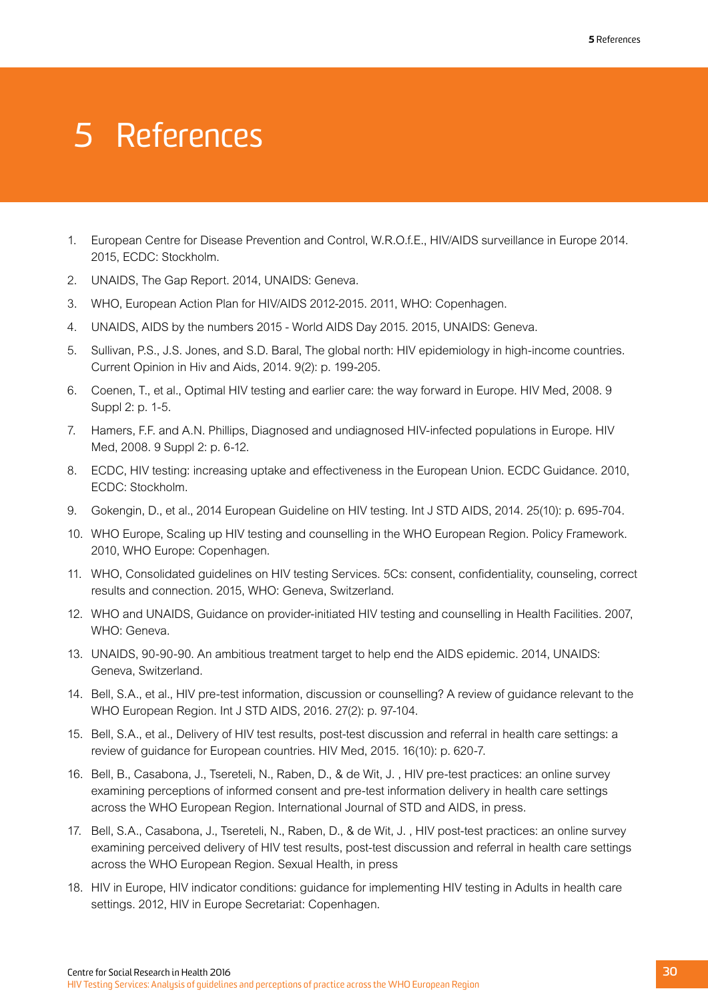# <span id="page-33-0"></span>5 References

- 1. European Centre for Disease Prevention and Control, W.R.O.f.E., HIV/AIDS surveillance in Europe 2014. 2015, ECDC: Stockholm.
- 2. UNAIDS, The Gap Report. 2014, UNAIDS: Geneva.
- 3. WHO, European Action Plan for HIV/AIDS 2012-2015. 2011, WHO: Copenhagen.
- 4. UNAIDS, AIDS by the numbers 2015 World AIDS Day 2015. 2015, UNAIDS: Geneva.
- 5. Sullivan, P.S., J.S. Jones, and S.D. Baral, The global north: HIV epidemiology in high-income countries. Current Opinion in Hiv and Aids, 2014. 9(2): p. 199-205.
- 6. Coenen, T., et al., Optimal HIV testing and earlier care: the way forward in Europe. HIV Med, 2008. 9 Suppl 2: p. 1-5.
- 7. Hamers, F.F. and A.N. Phillips, Diagnosed and undiagnosed HIV-infected populations in Europe. HIV Med, 2008. 9 Suppl 2: p. 6-12.
- 8. ECDC, HIV testing: increasing uptake and effectiveness in the European Union. ECDC Guidance. 2010, ECDC: Stockholm.
- 9. Gokengin, D., et al., 2014 European Guideline on HIV testing. Int J STD AIDS, 2014. 25(10): p. 695-704.
- 10. WHO Europe, Scaling up HIV testing and counselling in the WHO European Region. Policy Framework. 2010, WHO Europe: Copenhagen.
- 11. WHO, Consolidated guidelines on HIV testing Services. 5Cs: consent, confidentiality, counseling, correct results and connection. 2015, WHO: Geneva, Switzerland.
- 12. WHO and UNAIDS, Guidance on provider-initiated HIV testing and counselling in Health Facilities. 2007, WHO: Geneva.
- 13. UNAIDS, 90-90-90. An ambitious treatment target to help end the AIDS epidemic. 2014, UNAIDS: Geneva, Switzerland.
- 14. Bell, S.A., et al., HIV pre-test information, discussion or counselling? A review of guidance relevant to the WHO European Region. Int J STD AIDS, 2016. 27(2): p. 97-104.
- 15. Bell, S.A., et al., Delivery of HIV test results, post-test discussion and referral in health care settings: a review of guidance for European countries. HIV Med, 2015. 16(10): p. 620-7.
- 16. Bell, B., Casabona, J., Tsereteli, N., Raben, D., & de Wit, J. , HIV pre-test practices: an online survey examining perceptions of informed consent and pre-test information delivery in health care settings across the WHO European Region. International Journal of STD and AIDS, in press.
- 17. Bell, S.A., Casabona, J., Tsereteli, N., Raben, D., & de Wit, J. , HIV post-test practices: an online survey examining perceived delivery of HIV test results, post-test discussion and referral in health care settings across the WHO European Region. Sexual Health, in press
- 18. HIV in Europe, HIV indicator conditions: guidance for implementing HIV testing in Adults in health care settings. 2012, HIV in Europe Secretariat: Copenhagen.